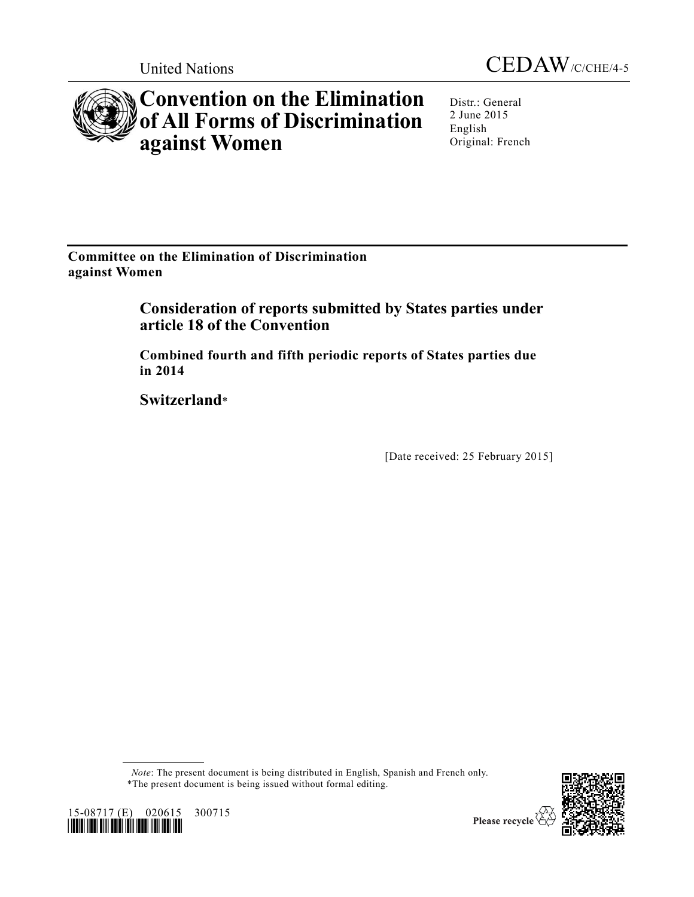

# **Convention on the Elimination of All Forms of Discrimination against Women**



Distr.: General 2 June 2015 English Original: French

**Committee on the Elimination of Discrimination against Women**

> **Consideration of reports submitted by States parties under article 18 of the Convention**

**Combined fourth and fifth periodic reports of States parties due in 2014**

**Switzerland**\*

[Date received: 25 February 2015]

*Note*: The present document is being distributed in English, Spanish and French only. \*The present document is being issued without formal editing.





Please recycle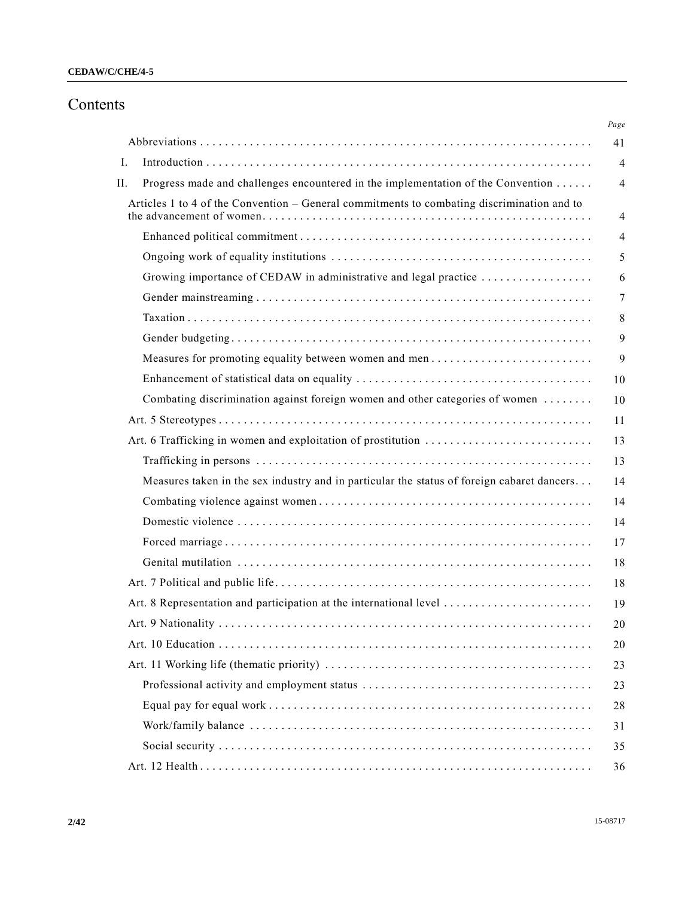# **CEDAW/C/CHE/4-5**

# Contents

| Ι.<br>Progress made and challenges encountered in the implementation of the Convention<br>Н.<br>Articles 1 to 4 of the Convention – General commitments to combating discrimination and to<br>Growing importance of CEDAW in administrative and legal practice<br>Measures for promoting equality between women and men<br>Combating discrimination against foreign women and other categories of women<br>Measures taken in the sex industry and in particular the status of foreign cabaret dancers |  | Page           |
|-------------------------------------------------------------------------------------------------------------------------------------------------------------------------------------------------------------------------------------------------------------------------------------------------------------------------------------------------------------------------------------------------------------------------------------------------------------------------------------------------------|--|----------------|
|                                                                                                                                                                                                                                                                                                                                                                                                                                                                                                       |  | 41             |
|                                                                                                                                                                                                                                                                                                                                                                                                                                                                                                       |  | $\overline{4}$ |
|                                                                                                                                                                                                                                                                                                                                                                                                                                                                                                       |  | $\overline{4}$ |
|                                                                                                                                                                                                                                                                                                                                                                                                                                                                                                       |  | $\overline{4}$ |
|                                                                                                                                                                                                                                                                                                                                                                                                                                                                                                       |  | $\overline{4}$ |
|                                                                                                                                                                                                                                                                                                                                                                                                                                                                                                       |  | 5              |
|                                                                                                                                                                                                                                                                                                                                                                                                                                                                                                       |  | 6              |
|                                                                                                                                                                                                                                                                                                                                                                                                                                                                                                       |  | $\overline{7}$ |
|                                                                                                                                                                                                                                                                                                                                                                                                                                                                                                       |  | 8              |
|                                                                                                                                                                                                                                                                                                                                                                                                                                                                                                       |  | 9              |
|                                                                                                                                                                                                                                                                                                                                                                                                                                                                                                       |  | 9              |
|                                                                                                                                                                                                                                                                                                                                                                                                                                                                                                       |  | 10             |
|                                                                                                                                                                                                                                                                                                                                                                                                                                                                                                       |  | 10             |
|                                                                                                                                                                                                                                                                                                                                                                                                                                                                                                       |  | 11             |
|                                                                                                                                                                                                                                                                                                                                                                                                                                                                                                       |  | 13             |
|                                                                                                                                                                                                                                                                                                                                                                                                                                                                                                       |  | 13             |
|                                                                                                                                                                                                                                                                                                                                                                                                                                                                                                       |  | 14             |
|                                                                                                                                                                                                                                                                                                                                                                                                                                                                                                       |  | 14             |
|                                                                                                                                                                                                                                                                                                                                                                                                                                                                                                       |  | 14             |
|                                                                                                                                                                                                                                                                                                                                                                                                                                                                                                       |  | 17             |
|                                                                                                                                                                                                                                                                                                                                                                                                                                                                                                       |  | 18             |
|                                                                                                                                                                                                                                                                                                                                                                                                                                                                                                       |  | 18             |
|                                                                                                                                                                                                                                                                                                                                                                                                                                                                                                       |  | 19             |
|                                                                                                                                                                                                                                                                                                                                                                                                                                                                                                       |  | 20             |
|                                                                                                                                                                                                                                                                                                                                                                                                                                                                                                       |  | 20             |
|                                                                                                                                                                                                                                                                                                                                                                                                                                                                                                       |  | 23             |
|                                                                                                                                                                                                                                                                                                                                                                                                                                                                                                       |  | 23             |
|                                                                                                                                                                                                                                                                                                                                                                                                                                                                                                       |  | 28             |
|                                                                                                                                                                                                                                                                                                                                                                                                                                                                                                       |  | 31             |
|                                                                                                                                                                                                                                                                                                                                                                                                                                                                                                       |  | 35             |
|                                                                                                                                                                                                                                                                                                                                                                                                                                                                                                       |  | 36             |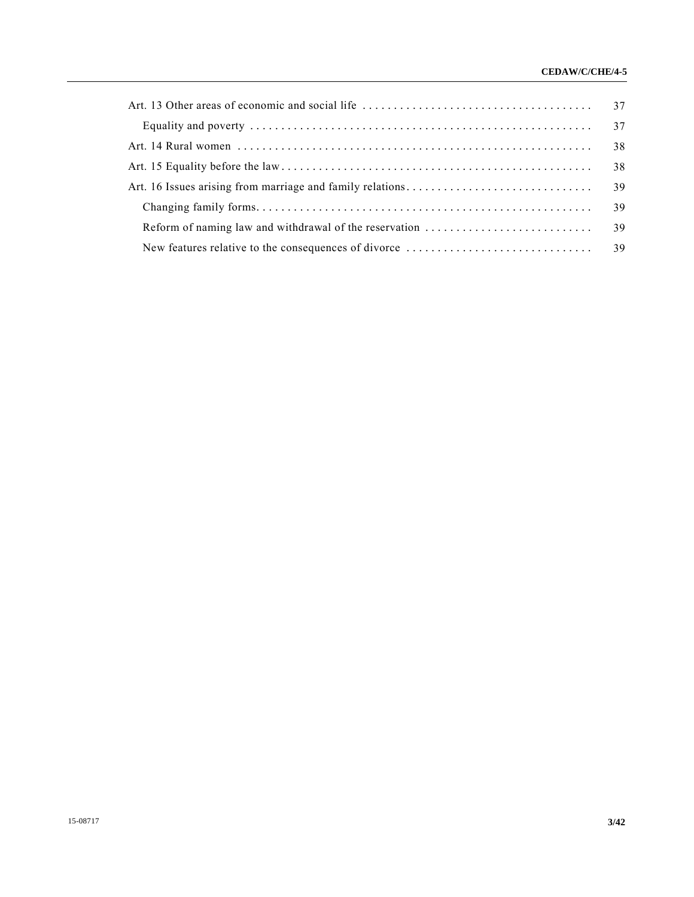# **CEDAW/C/CHE/4-5**

|  | 38 |  |
|--|----|--|
|  |    |  |
|  |    |  |
|  |    |  |
|  |    |  |
|  |    |  |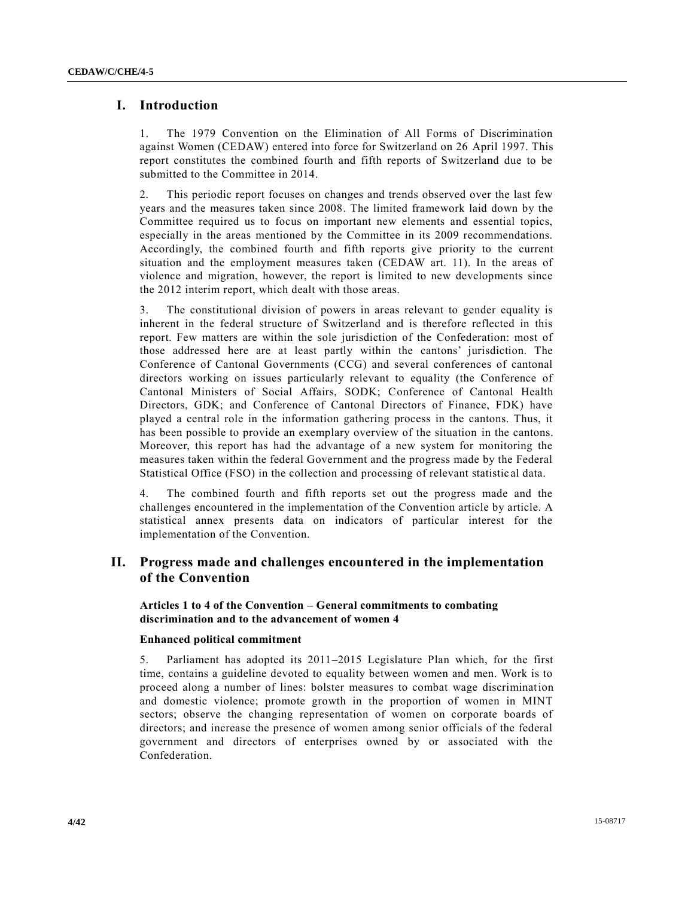# **I. Introduction**

1. The 1979 Convention on the Elimination of All Forms of Discrimination against Women (CEDAW) entered into force for Switzerland on 26 April 1997. This report constitutes the combined fourth and fifth reports of Switzerland due to be submitted to the Committee in 2014.

2. This periodic report focuses on changes and trends observed over the last few years and the measures taken since 2008. The limited framework laid down by the Committee required us to focus on important new elements and essential topics, especially in the areas mentioned by the Committee in its 2009 recommendations. Accordingly, the combined fourth and fifth reports give priority to the current situation and the employment measures taken (CEDAW art. 11). In the areas of violence and migration, however, the report is limited to new developments since the 2012 interim report, which dealt with those areas.

3. The constitutional division of powers in areas relevant to gender equality is inherent in the federal structure of Switzerland and is therefore reflected in this report. Few matters are within the sole jurisdiction of the Confederation: most of those addressed here are at least partly within the cantons' jurisdiction. The Conference of Cantonal Governments (CCG) and several conferences of cantonal directors working on issues particularly relevant to equality (the Conference of Cantonal Ministers of Social Affairs, SODK; Conference of Cantonal Health Directors, GDK; and Conference of Cantonal Directors of Finance, FDK) have played a central role in the information gathering process in the cantons. Thus, it has been possible to provide an exemplary overview of the situation in the cantons. Moreover, this report has had the advantage of a new system for monitoring the measures taken within the federal Government and the progress made by the Federal Statistical Office (FSO) in the collection and processing of relevant statistic al data.

4. The combined fourth and fifth reports set out the progress made and the challenges encountered in the implementation of the Convention article by article. A statistical annex presents data on indicators of particular interest for the implementation of the Convention.

# **II. Progress made and challenges encountered in the implementation of the Convention**

**Articles 1 to 4 of the Convention – General commitments to combating discrimination and to the advancement of women 4** 

#### **Enhanced political commitment**

5. Parliament has adopted its 2011–2015 Legislature Plan which, for the first time, contains a guideline devoted to equality between women and men. Work is to proceed along a number of lines: bolster measures to combat wage discrimination and domestic violence; promote growth in the proportion of women in MINT sectors; observe the changing representation of women on corporate boards of directors; and increase the presence of women among senior officials of the federal government and directors of enterprises owned by or associated with the Confederation.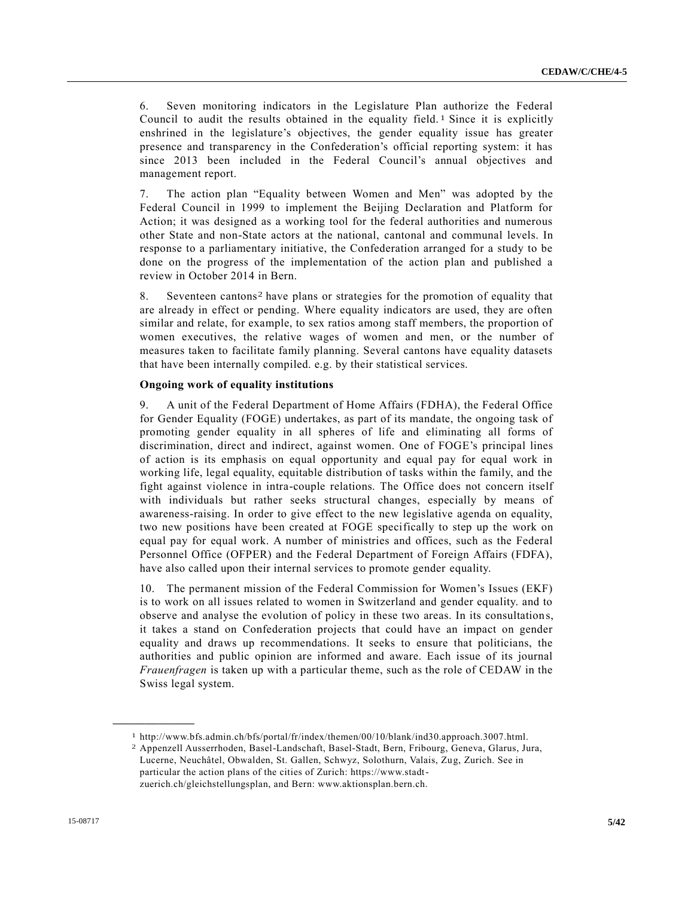6. Seven monitoring indicators in the Legislature Plan authorize the Federal Council to audit the results obtained in the equality field. 1 Since it is explicitly enshrined in the legislature's objectives, the gender equality issue has greater presence and transparency in the Confederation's official reporting system: it has since 2013 been included in the Federal Council's annual objectives and management report.

7. The action plan "Equality between Women and Men" was adopted by the Federal Council in 1999 to implement the Beijing Declaration and Platform for Action; it was designed as a working tool for the federal authorities and numerous other State and non-State actors at the national, cantonal and communal levels. In response to a parliamentary initiative, the Confederation arranged for a study to be done on the progress of the implementation of the action plan and published a review in October 2014 in Bern.

8. Seventeen cantons2 have plans or strategies for the promotion of equality that are already in effect or pending. Where equality indicators are used, they are often similar and relate, for example, to sex ratios among staff members, the proportion of women executives, the relative wages of women and men, or the number of measures taken to facilitate family planning. Several cantons have equality datasets that have been internally compiled. e.g. by their statistical services.

#### **Ongoing work of equality institutions**

9. A unit of the Federal Department of Home Affairs (FDHA), the Federal Office for Gender Equality (FOGE) undertakes, as part of its mandate, the ongoing task of promoting gender equality in all spheres of life and eliminating all forms of discrimination, direct and indirect, against women. One of FOGE's principal lines of action is its emphasis on equal opportunity and equal pay for equal work in working life, legal equality, equitable distribution of tasks within the family, and the fight against violence in intra-couple relations. The Office does not concern itself with individuals but rather seeks structural changes, especially by means of awareness-raising. In order to give effect to the new legislative agenda on equality, two new positions have been created at FOGE specifically to step up the work on equal pay for equal work. A number of ministries and offices, such as the Federal Personnel Office (OFPER) and the Federal Department of Foreign Affairs (FDFA), have also called upon their internal services to promote gender equality.

10. The permanent mission of the Federal Commission for Women's Issues (EKF) is to work on all issues related to women in Switzerland and gender equality. and to observe and analyse the evolution of policy in these two areas. In its consultation s, it takes a stand on Confederation projects that could have an impact on gender equality and draws up recommendations. It seeks to ensure that politicians, the authorities and public opinion are informed and aware. Each issue of its journal *Frauenfragen* is taken up with a particular theme, such as the role of CEDAW in the Swiss legal system.

<sup>1</sup> http://www.bfs.admin.ch/bfs/portal/fr/index/themen/00/10/blank/ind30.approach.3007.html.

<sup>2</sup> Appenzell Ausserrhoden, Basel-Landschaft, Basel-Stadt, Bern, Fribourg, Geneva, Glarus, Jura, Lucerne, Neuchâtel, Obwalden, St. Gallen, Schwyz, Solothurn, Valais, Zug, Zurich. See in particular the action plans of the cities of Zurich: https://www.stadtzuerich.ch/gleichstellungsplan, and Bern: www.aktionsplan.bern.ch.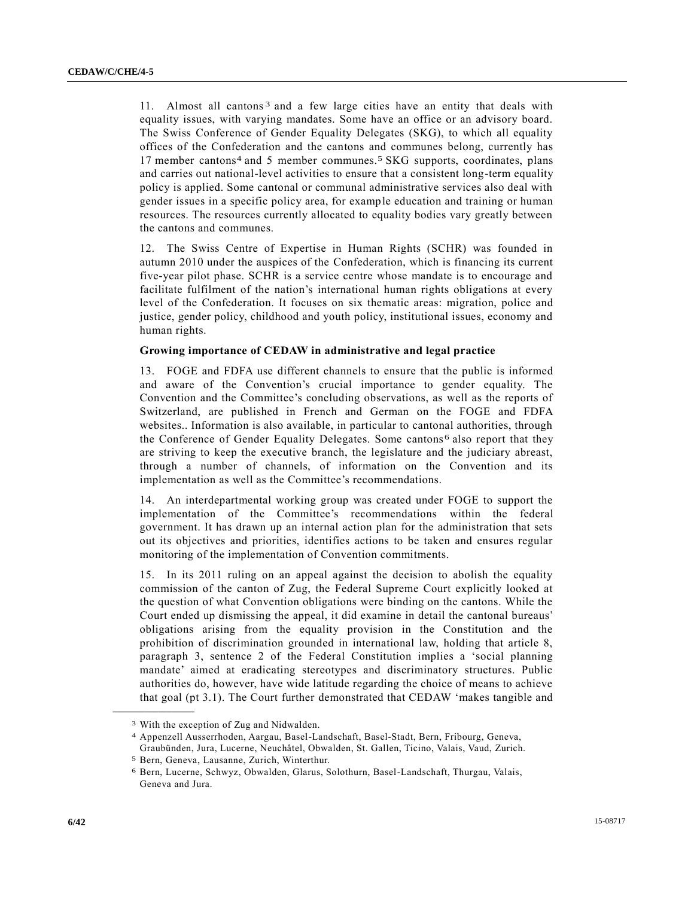11. Almost all cantons<sup>3</sup> and a few large cities have an entity that deals with equality issues, with varying mandates. Some have an office or an advisory board. The Swiss Conference of Gender Equality Delegates (SKG), to which all equality offices of the Confederation and the cantons and communes belong, currently has 17 member cantons4 and 5 member communes.5 SKG supports, coordinates, plans and carries out national-level activities to ensure that a consistent long-term equality policy is applied. Some cantonal or communal administrative services also deal with gender issues in a specific policy area, for example education and training or human resources. The resources currently allocated to equality bodies vary greatly between the cantons and communes.

12. The Swiss Centre of Expertise in Human Rights (SCHR) was founded in autumn 2010 under the auspices of the Confederation, which is financing its current five-year pilot phase. SCHR is a service centre whose mandate is to encourage and facilitate fulfilment of the nation's international human rights obligations at every level of the Confederation. It focuses on six thematic areas: migration, police and justice, gender policy, childhood and youth policy, institutional issues, economy and human rights.

# **Growing importance of CEDAW in administrative and legal practice**

13. FOGE and FDFA use different channels to ensure that the public is informed and aware of the Convention's crucial importance to gender equality. The Convention and the Committee's concluding observations, as well as the reports of Switzerland, are published in French and German on the FOGE and FDFA websites.. Information is also available, in particular to cantonal authorities, through the Conference of Gender Equality Delegates. Some cantons 6 also report that they are striving to keep the executive branch, the legislature and the judiciary abreast, through a number of channels, of information on the Convention and its implementation as well as the Committee's recommendations.

14. An interdepartmental working group was created under FOGE to support the implementation of the Committee's recommendations within the federal government. It has drawn up an internal action plan for the administration that sets out its objectives and priorities, identifies actions to be taken and ensures regular monitoring of the implementation of Convention commitments.

15. In its 2011 ruling on an appeal against the decision to abolish the equality commission of the canton of Zug, the Federal Supreme Court explicitly looked at the question of what Convention obligations were binding on the cantons. While the Court ended up dismissing the appeal, it did examine in detail the cantonal bureaus' obligations arising from the equality provision in the Constitution and the prohibition of discrimination grounded in international law, holding that article 8, paragraph 3, sentence 2 of the Federal Constitution implies a 'social planning mandate' aimed at eradicating stereotypes and discriminatory structures. Public authorities do, however, have wide latitude regarding the choice of means to achieve that goal (pt 3.1). The Court further demonstrated that CEDAW 'makes tangible and **\_\_\_\_\_\_\_\_\_\_\_\_\_\_\_\_\_\_**

<sup>3</sup> With the exception of Zug and Nidwalden.

<sup>4</sup> Appenzell Ausserrhoden, Aargau, Basel-Landschaft, Basel-Stadt, Bern, Fribourg, Geneva, Graubünden, Jura, Lucerne, Neuchâtel, Obwalden, St. Gallen, Ticino, Valais, Vaud, Zurich.

<sup>5</sup> Bern, Geneva, Lausanne, Zurich, Winterthur.

<sup>6</sup> Bern, Lucerne, Schwyz, Obwalden, Glarus, Solothurn, Basel-Landschaft, Thurgau, Valais, Geneva and Jura.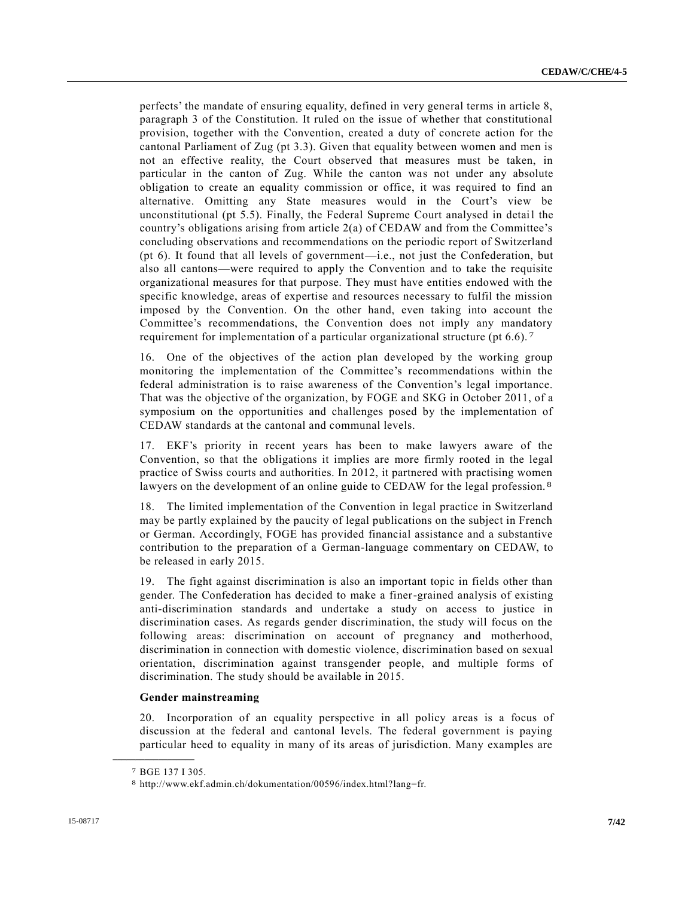perfects' the mandate of ensuring equality, defined in very general terms in article 8, paragraph 3 of the Constitution. It ruled on the issue of whether that constitutional provision, together with the Convention, created a duty of concrete action for the cantonal Parliament of Zug (pt 3.3). Given that equality between women and men is not an effective reality, the Court observed that measures must be taken, in particular in the canton of Zug. While the canton was not under any absolute obligation to create an equality commission or office, it was required to find an alternative. Omitting any State measures would in the Court's view be unconstitutional (pt 5.5). Finally, the Federal Supreme Court analysed in detail the country's obligations arising from article 2(a) of CEDAW and from the Committee's concluding observations and recommendations on the periodic report of Switzerland (pt 6). It found that all levels of government—i.e., not just the Confederation, but also all cantons—were required to apply the Convention and to take the requisite organizational measures for that purpose. They must have entities endowed with the specific knowledge, areas of expertise and resources necessary to fulfil the mission imposed by the Convention. On the other hand, even taking into account the Committee's recommendations, the Convention does not imply any mandatory requirement for implementation of a particular organizational structure (pt 6.6). 7

16. One of the objectives of the action plan developed by the working group monitoring the implementation of the Committee's recommendations within the federal administration is to raise awareness of the Convention's legal importance. That was the objective of the organization, by FOGE and SKG in October 2011, of a symposium on the opportunities and challenges posed by the implementation of CEDAW standards at the cantonal and communal levels.

17. EKF's priority in recent years has been to make lawyers aware of the Convention, so that the obligations it implies are more firmly rooted in the legal practice of Swiss courts and authorities. In 2012, it partnered with practising women lawyers on the development of an online guide to CEDAW for the legal profession. 8

18. The limited implementation of the Convention in legal practice in Switzerland may be partly explained by the paucity of legal publications on the subject in French or German. Accordingly, FOGE has provided financial assistance and a substantive contribution to the preparation of a German-language commentary on CEDAW, to be released in early 2015.

19. The fight against discrimination is also an important topic in fields other than gender. The Confederation has decided to make a finer-grained analysis of existing anti-discrimination standards and undertake a study on access to justice in discrimination cases. As regards gender discrimination, the study will focus on the following areas: discrimination on account of pregnancy and motherhood, discrimination in connection with domestic violence, discrimination based on sexual orientation, discrimination against transgender people, and multiple forms of discrimination. The study should be available in 2015.

#### **Gender mainstreaming**

20. Incorporation of an equality perspective in all policy areas is a focus of discussion at the federal and cantonal levels. The federal government is paying particular heed to equality in many of its areas of jurisdiction. Many examples are

<sup>7</sup> BGE 137 I 305.

<sup>8</sup> http://www.ekf.admin.ch/dokumentation/00596/index.html?lang=fr.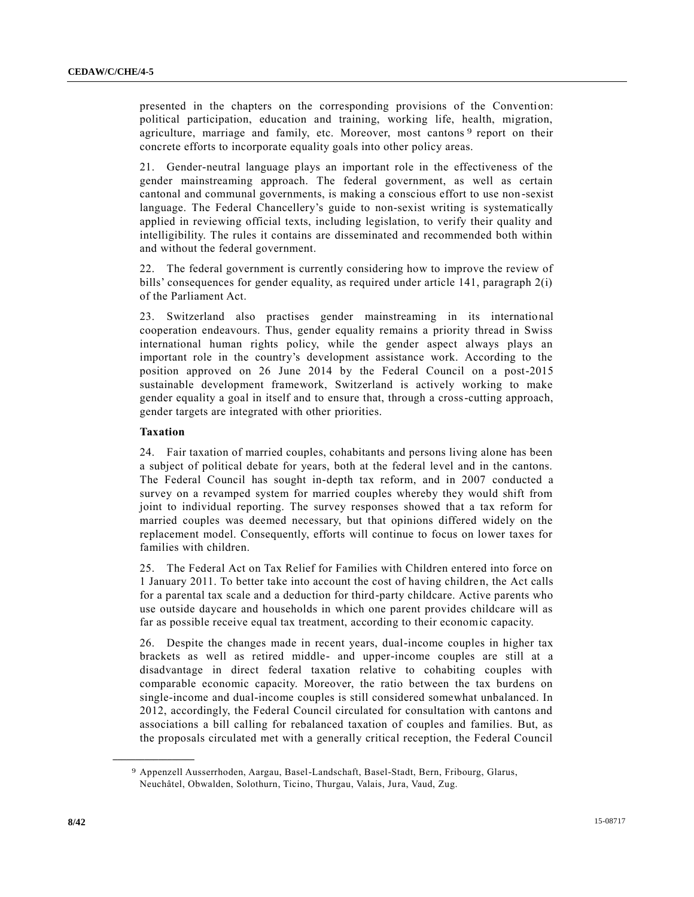presented in the chapters on the corresponding provisions of the Convention: political participation, education and training, working life, health, migration, agriculture, marriage and family, etc. Moreover, most cantons<sup>9</sup> report on their concrete efforts to incorporate equality goals into other policy areas.

21. Gender-neutral language plays an important role in the effectiveness of the gender mainstreaming approach. The federal government, as well as certain cantonal and communal governments, is making a conscious effort to use non -sexist language. The Federal Chancellery's guide to non-sexist writing is systematically applied in reviewing official texts, including legislation, to verify their quality and intelligibility. The rules it contains are disseminated and recommended both within and without the federal government.

22. The federal government is currently considering how to improve the review of bills' consequences for gender equality, as required under article 141, paragraph 2(i) of the Parliament Act.

23. Switzerland also practises gender mainstreaming in its international cooperation endeavours. Thus, gender equality remains a priority thread in Swiss international human rights policy, while the gender aspect always plays an important role in the country's development assistance work. According to the position approved on 26 June 2014 by the Federal Council on a post-2015 sustainable development framework, Switzerland is actively working to make gender equality a goal in itself and to ensure that, through a cross-cutting approach, gender targets are integrated with other priorities.

#### **Taxation**

**\_\_\_\_\_\_\_\_\_\_\_\_\_\_\_\_\_\_**

24. Fair taxation of married couples, cohabitants and persons living alone has been a subject of political debate for years, both at the federal level and in the cantons. The Federal Council has sought in-depth tax reform, and in 2007 conducted a survey on a revamped system for married couples whereby they would shift from joint to individual reporting. The survey responses showed that a tax reform for married couples was deemed necessary, but that opinions differed widely on the replacement model. Consequently, efforts will continue to focus on lower taxes for families with children.

25. The Federal Act on Tax Relief for Families with Children entered into force on 1 January 2011. To better take into account the cost of having children, the Act calls for a parental tax scale and a deduction for third-party childcare. Active parents who use outside daycare and households in which one parent provides childcare will as far as possible receive equal tax treatment, according to their economic capacity.

26. Despite the changes made in recent years, dual-income couples in higher tax brackets as well as retired middle- and upper-income couples are still at a disadvantage in direct federal taxation relative to cohabiting couples with comparable economic capacity. Moreover, the ratio between the tax burdens on single-income and dual-income couples is still considered somewhat unbalanced. In 2012, accordingly, the Federal Council circulated for consultation with cantons and associations a bill calling for rebalanced taxation of couples and families. But, as the proposals circulated met with a generally critical reception, the Federal Council

<sup>9</sup> Appenzell Ausserrhoden, Aargau, Basel-Landschaft, Basel-Stadt, Bern, Fribourg, Glarus, Neuchâtel, Obwalden, Solothurn, Ticino, Thurgau, Valais, Jura, Vaud, Zug.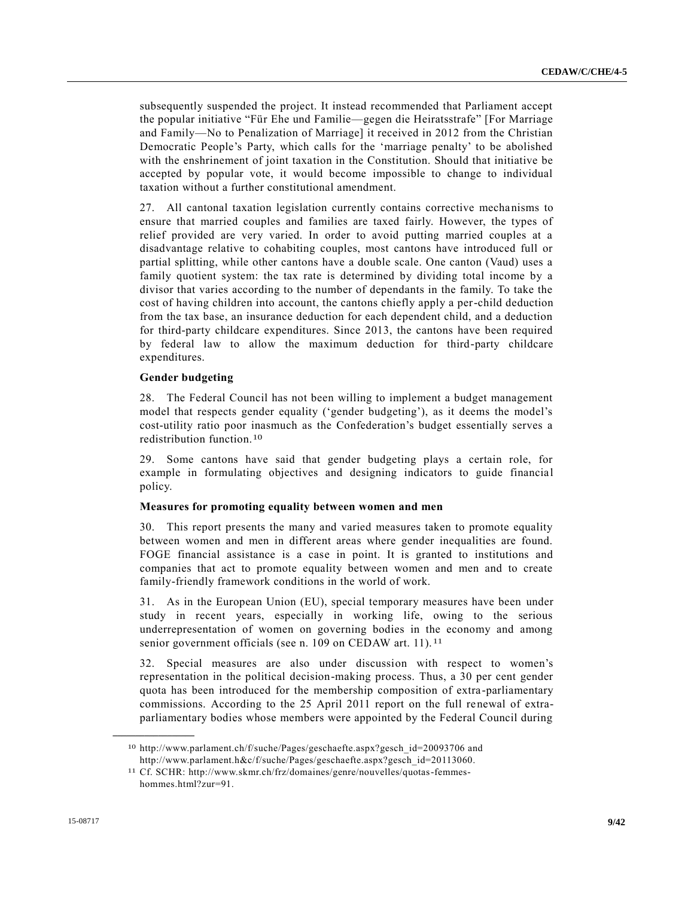subsequently suspended the project. It instead recommended that Parliament accept the popular initiative "Für Ehe und Familie—gegen die Heiratsstrafe" [For Marriage and Family—No to Penalization of Marriage] it received in 2012 from the Christian Democratic People's Party, which calls for the 'marriage penalty' to be abolished with the enshrinement of joint taxation in the Constitution. Should that initiative be accepted by popular vote, it would become impossible to change to individual taxation without a further constitutional amendment.

27. All cantonal taxation legislation currently contains corrective mechanisms to ensure that married couples and families are taxed fairly. However, the types of relief provided are very varied. In order to avoid putting married couples at a disadvantage relative to cohabiting couples, most cantons have introduced full or partial splitting, while other cantons have a double scale. One canton (Vaud) uses a family quotient system: the tax rate is determined by dividing total income by a divisor that varies according to the number of dependants in the family. To take the cost of having children into account, the cantons chiefly apply a per-child deduction from the tax base, an insurance deduction for each dependent child, and a deduction for third-party childcare expenditures. Since 2013, the cantons have been required by federal law to allow the maximum deduction for third-party childcare expenditures.

#### **Gender budgeting**

28. The Federal Council has not been willing to implement a budget management model that respects gender equality ('gender budgeting'), as it deems the model's cost-utility ratio poor inasmuch as the Confederation's budget essentially serves a redistribution function.10

29. Some cantons have said that gender budgeting plays a certain role, for example in formulating objectives and designing indicators to guide financial policy.

#### **Measures for promoting equality between women and men**

30. This report presents the many and varied measures taken to promote equality between women and men in different areas where gender inequalities are found. FOGE financial assistance is a case in point. It is granted to institutions and companies that act to promote equality between women and men and to create family-friendly framework conditions in the world of work.

31. As in the European Union (EU), special temporary measures have been under study in recent years, especially in working life, owing to the serious underrepresentation of women on governing bodies in the economy and among senior government officials (see n. 109 on CEDAW art. 11).<sup>11</sup>

32. Special measures are also under discussion with respect to women's representation in the political decision-making process. Thus, a 30 per cent gender quota has been introduced for the membership composition of extra-parliamentary commissions. According to the 25 April 2011 report on the full renewal of extraparliamentary bodies whose members were appointed by the Federal Council during

<sup>10</sup> http://www.parlament.ch/f/suche/Pages/geschaefte.aspx?gesch\_id=20093706 and http://www.parlament.h&c/f/suche/Pages/geschaefte.aspx?gesch\_id=20113060.

<sup>11</sup> Cf. SCHR: http://www.skmr.ch/frz/domaines/genre/nouvelles/quotas-femmeshommes.html?zur=91.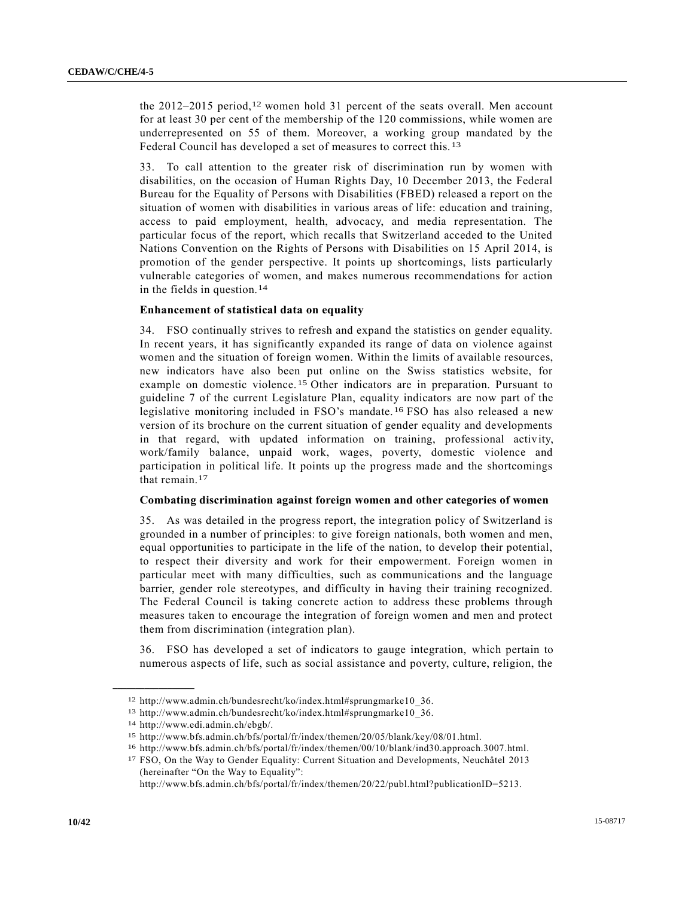the 2012–2015 period,<sup>12</sup> women hold 31 percent of the seats overall. Men account for at least 30 per cent of the membership of the 120 commissions, while women are underrepresented on 55 of them. Moreover, a working group mandated by the Federal Council has developed a set of measures to correct this. 13

33. To call attention to the greater risk of discrimination run by women with disabilities, on the occasion of Human Rights Day, 10 December 2013, the Federal Bureau for the Equality of Persons with Disabilities (FBED) released a report on the situation of women with disabilities in various areas of life: education and training, access to paid employment, health, advocacy, and media representation. The particular focus of the report, which recalls that Switzerland acceded to the United Nations Convention on the Rights of Persons with Disabilities on 15 April 2014, is promotion of the gender perspective. It points up shortcomings, lists particularly vulnerable categories of women, and makes numerous recommendations for action in the fields in question.14

#### **Enhancement of statistical data on equality**

34. FSO continually strives to refresh and expand the statistics on gender equality. In recent years, it has significantly expanded its range of data on violence against women and the situation of foreign women. Within the limits of available resources, new indicators have also been put online on the Swiss statistics website, for example on domestic violence. 15 Other indicators are in preparation. Pursuant to guideline 7 of the current Legislature Plan, equality indicators are now part of the legislative monitoring included in FSO's mandate. 16 FSO has also released a new version of its brochure on the current situation of gender equality and developments in that regard, with updated information on training, professional activity, work/family balance, unpaid work, wages, poverty, domestic violence and participation in political life. It points up the progress made and the shortcomings that remain.17

#### **Combating discrimination against foreign women and other categories of women**

35. As was detailed in the progress report, the integration policy of Switzerland is grounded in a number of principles: to give foreign nationals, both women and men, equal opportunities to participate in the life of the nation, to develop their potential, to respect their diversity and work for their empowerment. Foreign women in particular meet with many difficulties, such as communications and the language barrier, gender role stereotypes, and difficulty in having their training recognized. The Federal Council is taking concrete action to address these problems through measures taken to encourage the integration of foreign women and men and protect them from discrimination (integration plan).

36. FSO has developed a set of indicators to gauge integration, which pertain to numerous aspects of life, such as social assistance and poverty, culture, religion, the

<sup>12</sup> http://www.admin.ch/bundesrecht/ko/index.html#sprungmarke10\_36.

<sup>13</sup> http://www.admin.ch/bundesrecht/ko/index.html#sprungmarke10\_36.

<sup>14</sup> http://www.edi.admin.ch/ebgb/.

<sup>15</sup> http://www.bfs.admin.ch/bfs/portal/fr/index/themen/20/05/blank/key/08/01.html.

<sup>16</sup> http://www.bfs.admin.ch/bfs/portal/fr/index/themen/00/10/blank/ind30.approach.3007.html.

<sup>17</sup> FSO, On the Way to Gender Equality: Current Situation and Developments, Neuchâtel 2013 (hereinafter "On the Way to Equality":

http://www.bfs.admin.ch/bfs/portal/fr/index/themen/20/22/publ.html?publicationID=5213.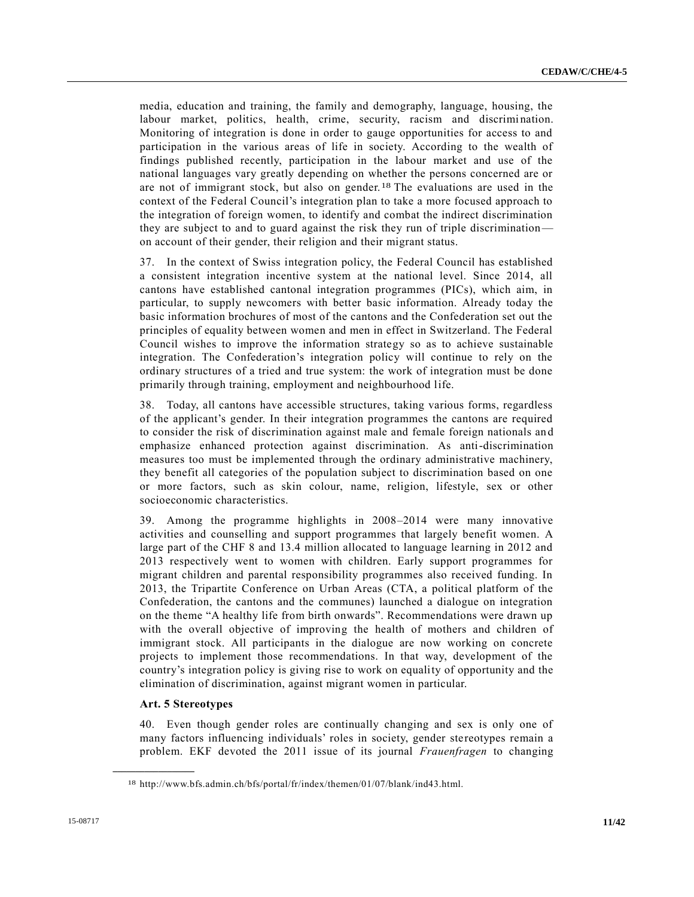media, education and training, the family and demography, language, housing, the labour market, politics, health, crime, security, racism and discrimination. Monitoring of integration is done in order to gauge opportunities for access to and participation in the various areas of life in society. According to the wealth of findings published recently, participation in the labour market and use of the national languages vary greatly depending on whether the persons concerned are or are not of immigrant stock, but also on gender.18 The evaluations are used in the context of the Federal Council's integration plan to take a more focused approach to the integration of foreign women, to identify and combat the indirect discrimination they are subject to and to guard against the risk they run of triple discrimination on account of their gender, their religion and their migrant status.

37. In the context of Swiss integration policy, the Federal Council has established a consistent integration incentive system at the national level. Since 2014, all cantons have established cantonal integration programmes (PICs), which aim, in particular, to supply newcomers with better basic information. Already today the basic information brochures of most of the cantons and the Confederation set out the principles of equality between women and men in effect in Switzerland. The Federal Council wishes to improve the information strategy so as to achieve sustainable integration. The Confederation's integration policy will continue to rely on the ordinary structures of a tried and true system: the work of integration must be done primarily through training, employment and neighbourhood life.

38. Today, all cantons have accessible structures, taking various forms, regardless of the applicant's gender. In their integration programmes the cantons are required to consider the risk of discrimination against male and female foreign nationals an d emphasize enhanced protection against discrimination. As anti-discrimination measures too must be implemented through the ordinary administrative machinery, they benefit all categories of the population subject to discrimination based on one or more factors, such as skin colour, name, religion, lifestyle, sex or other socioeconomic characteristics.

39. Among the programme highlights in 2008–2014 were many innovative activities and counselling and support programmes that largely benefit women. A large part of the CHF 8 and 13.4 million allocated to language learning in 2012 and 2013 respectively went to women with children. Early support programmes for migrant children and parental responsibility programmes also received funding. In 2013, the Tripartite Conference on Urban Areas (CTA, a political platform of the Confederation, the cantons and the communes) launched a dialogue on integration on the theme "A healthy life from birth onwards". Recommendations were drawn up with the overall objective of improving the health of mothers and children of immigrant stock. All participants in the dialogue are now working on concrete projects to implement those recommendations. In that way, development of the country's integration policy is giving rise to work on equality of opportunity and the elimination of discrimination, against migrant women in particular.

#### **Art. 5 Stereotypes**

**\_\_\_\_\_\_\_\_\_\_\_\_\_\_\_\_\_\_**

40. Even though gender roles are continually changing and sex is only one of many factors influencing individuals' roles in society, gender stereotypes remain a problem. EKF devoted the 2011 issue of its journal *Frauenfragen* to changing

<sup>18</sup> http://www.bfs.admin.ch/bfs/portal/fr/index/themen/01/07/blank/ind43.html.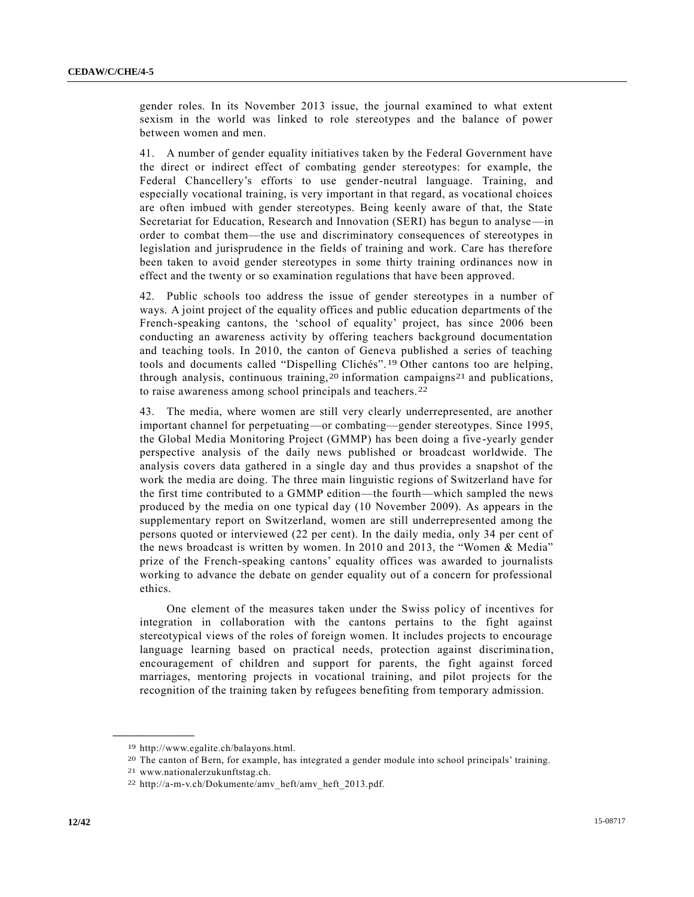gender roles. In its November 2013 issue, the journal examined to what extent sexism in the world was linked to role stereotypes and the balance of power between women and men.

41. A number of gender equality initiatives taken by the Federal Government have the direct or indirect effect of combating gender stereotypes: for example, the Federal Chancellery's efforts to use gender-neutral language. Training, and especially vocational training, is very important in that regard, as vocational choices are often imbued with gender stereotypes. Being keenly aware of that, the State Secretariat for Education, Research and Innovation (SERI) has begun to analyse—in order to combat them—the use and discriminatory consequences of stereotypes in legislation and jurisprudence in the fields of training and work. Care has therefore been taken to avoid gender stereotypes in some thirty training ordinances now in effect and the twenty or so examination regulations that have been approved.

42. Public schools too address the issue of gender stereotypes in a number of ways. A joint project of the equality offices and public education departments of the French-speaking cantons, the 'school of equality' project, has since 2006 been conducting an awareness activity by offering teachers background documentation and teaching tools. In 2010, the canton of Geneva published a series of teaching tools and documents called "Dispelling Clichés".19 Other cantons too are helping, through analysis, continuous training,<sup>20</sup> information campaigns<sup>21</sup> and publications, to raise awareness among school principals and teachers.22

43. The media, where women are still very clearly underrepresented, are another important channel for perpetuating—or combating—gender stereotypes. Since 1995, the Global Media Monitoring Project (GMMP) has been doing a five -yearly gender perspective analysis of the daily news published or broadcast worldwide. The analysis covers data gathered in a single day and thus provides a snapshot of the work the media are doing. The three main linguistic regions of Switzerland have for the first time contributed to a GMMP edition—the fourth—which sampled the news produced by the media on one typical day (10 November 2009). As appears in the supplementary report on Switzerland, women are still underrepresented among the persons quoted or interviewed (22 per cent). In the daily media, only 34 per cent of the news broadcast is written by women. In 2010 and 2013, the "Women & Media" prize of the French-speaking cantons' equality offices was awarded to journalists working to advance the debate on gender equality out of a concern for professional ethics.

One element of the measures taken under the Swiss policy of incentives for integration in collaboration with the cantons pertains to the fight against stereotypical views of the roles of foreign women. It includes projects to encourage language learning based on practical needs, protection against discrimination, encouragement of children and support for parents, the fight against forced marriages, mentoring projects in vocational training, and pilot projects for the recognition of the training taken by refugees benefiting from temporary admission.

<sup>19</sup> http://www.egalite.ch/balayons.html.

<sup>20</sup> The canton of Bern, for example, has integrated a gender module into school principals' training.

<sup>21</sup> www.nationalerzukunftstag.ch.

<sup>22</sup> http://a-m-v.ch/Dokumente/amv\_heft/amv\_heft\_2013.pdf.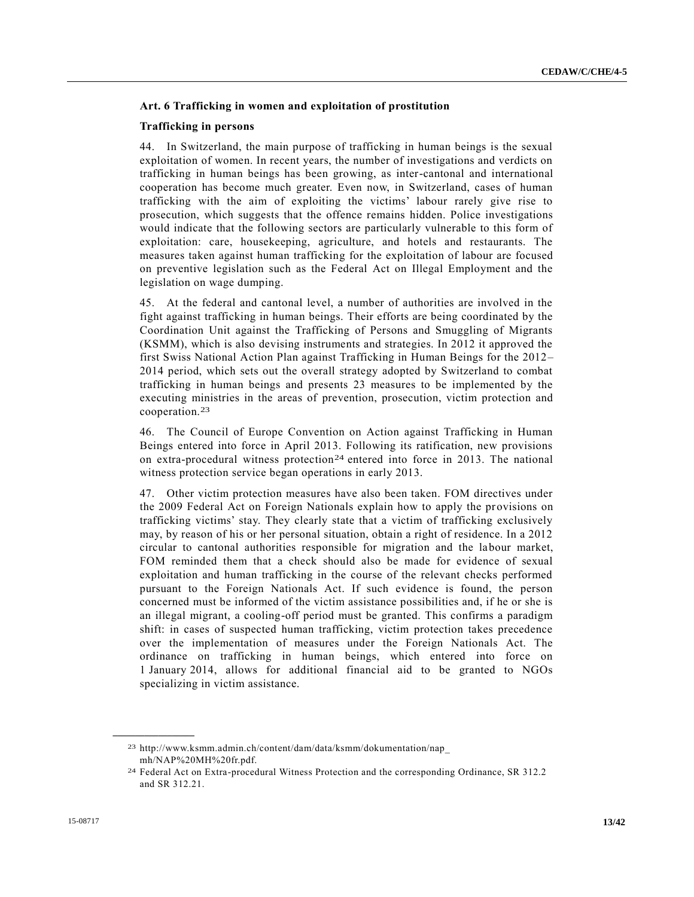#### **Art. 6 Trafficking in women and exploitation of prostitution**

#### **Trafficking in persons**

44. In Switzerland, the main purpose of trafficking in human beings is the sexual exploitation of women. In recent years, the number of investigations and verdicts on trafficking in human beings has been growing, as inter-cantonal and international cooperation has become much greater. Even now, in Switzerland, cases of human trafficking with the aim of exploiting the victims' labour rarely give rise to prosecution, which suggests that the offence remains hidden. Police investigations would indicate that the following sectors are particularly vulnerable to this form of exploitation: care, housekeeping, agriculture, and hotels and restaurants. The measures taken against human trafficking for the exploitation of labour are focused on preventive legislation such as the Federal Act on Illegal Employment and the legislation on wage dumping.

45. At the federal and cantonal level, a number of authorities are involved in the fight against trafficking in human beings. Their efforts are being coordinated by the Coordination Unit against the Trafficking of Persons and Smuggling of Migrants (KSMM), which is also devising instruments and strategies. In 2012 it approved the first Swiss National Action Plan against Trafficking in Human Beings for the 2012– 2014 period, which sets out the overall strategy adopted by Switzerland to combat trafficking in human beings and presents 23 measures to be implemented by the executing ministries in the areas of prevention, prosecution, victim protection and cooperation.23

46. The Council of Europe Convention on Action against Trafficking in Human Beings entered into force in April 2013. Following its ratification, new provisions on extra-procedural witness protection24 entered into force in 2013. The national witness protection service began operations in early 2013.

47. Other victim protection measures have also been taken. FOM directives under the 2009 Federal Act on Foreign Nationals explain how to apply the provisions on trafficking victims' stay. They clearly state that a victim of trafficking exclusively may, by reason of his or her personal situation, obtain a right of residence. In a 2012 circular to cantonal authorities responsible for migration and the labour market, FOM reminded them that a check should also be made for evidence of sexual exploitation and human trafficking in the course of the relevant checks performed pursuant to the Foreign Nationals Act. If such evidence is found, the person concerned must be informed of the victim assistance possibilities and, if he or she is an illegal migrant, a cooling-off period must be granted. This confirms a paradigm shift: in cases of suspected human trafficking, victim protection takes precedence over the implementation of measures under the Foreign Nationals Act. The ordinance on trafficking in human beings, which entered into force on 1 January 2014, allows for additional financial aid to be granted to NGOs specializing in victim assistance.

<sup>23</sup> http://www.ksmm.admin.ch/content/dam/data/ksmm/dokumentation/nap\_ mh/NAP%20MH%20fr.pdf.

<sup>24</sup> Federal Act on Extra-procedural Witness Protection and the corresponding Ordinance, SR 312.2 and SR 312.21.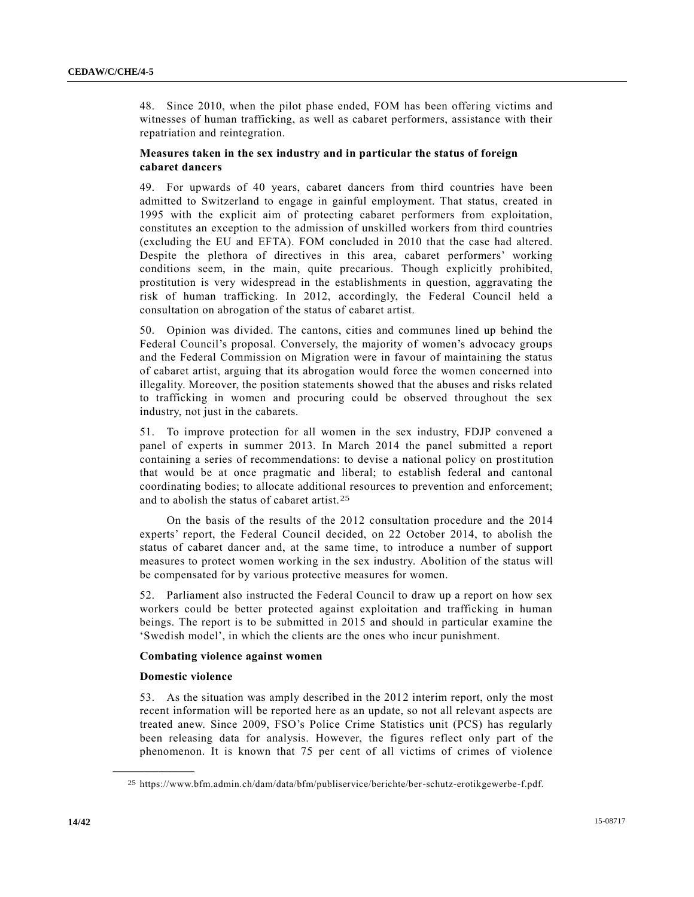48. Since 2010, when the pilot phase ended, FOM has been offering victims and witnesses of human trafficking, as well as cabaret performers, assistance with their repatriation and reintegration.

# **Measures taken in the sex industry and in particular the status of foreign cabaret dancers**

49. For upwards of 40 years, cabaret dancers from third countries have been admitted to Switzerland to engage in gainful employment. That status, created in 1995 with the explicit aim of protecting cabaret performers from exploitation, constitutes an exception to the admission of unskilled workers from third countries (excluding the EU and EFTA). FOM concluded in 2010 that the case had altered. Despite the plethora of directives in this area, cabaret performers' working conditions seem, in the main, quite precarious. Though explicitly prohibited, prostitution is very widespread in the establishments in question, aggravating the risk of human trafficking. In 2012, accordingly, the Federal Council held a consultation on abrogation of the status of cabaret artist.

50. Opinion was divided. The cantons, cities and communes lined up behind the Federal Council's proposal. Conversely, the majority of women's advocacy groups and the Federal Commission on Migration were in favour of maintaining the status of cabaret artist, arguing that its abrogation would force the women concerned into illegality. Moreover, the position statements showed that the abuses and risks related to trafficking in women and procuring could be observed throughout the sex industry, not just in the cabarets.

51. To improve protection for all women in the sex industry, FDJP convened a panel of experts in summer 2013. In March 2014 the panel submitted a report containing a series of recommendations: to devise a national policy on prostitution that would be at once pragmatic and liberal; to establish federal and cantonal coordinating bodies; to allocate additional resources to prevention and enforcement; and to abolish the status of cabaret artist.25

On the basis of the results of the 2012 consultation procedure and the 2014 experts' report, the Federal Council decided, on 22 October 2014, to abolish the status of cabaret dancer and, at the same time, to introduce a number of support measures to protect women working in the sex industry. Abolition of the status will be compensated for by various protective measures for women.

52. Parliament also instructed the Federal Council to draw up a report on how sex workers could be better protected against exploitation and trafficking in human beings. The report is to be submitted in 2015 and should in particular examine the 'Swedish model', in which the clients are the ones who incur punishment.

#### **Combating violence against women**

#### **Domestic violence**

**\_\_\_\_\_\_\_\_\_\_\_\_\_\_\_\_\_\_**

53. As the situation was amply described in the 2012 interim report, only the most recent information will be reported here as an update, so not all relevant aspects are treated anew. Since 2009, FSO's Police Crime Statistics unit (PCS) has regularly been releasing data for analysis. However, the figures reflect only part of the phenomenon. It is known that 75 per cent of all victims of crimes of violence

<sup>25</sup> https://www.bfm.admin.ch/dam/data/bfm/publiservice/berichte/ber-schutz-erotikgewerbe-f.pdf.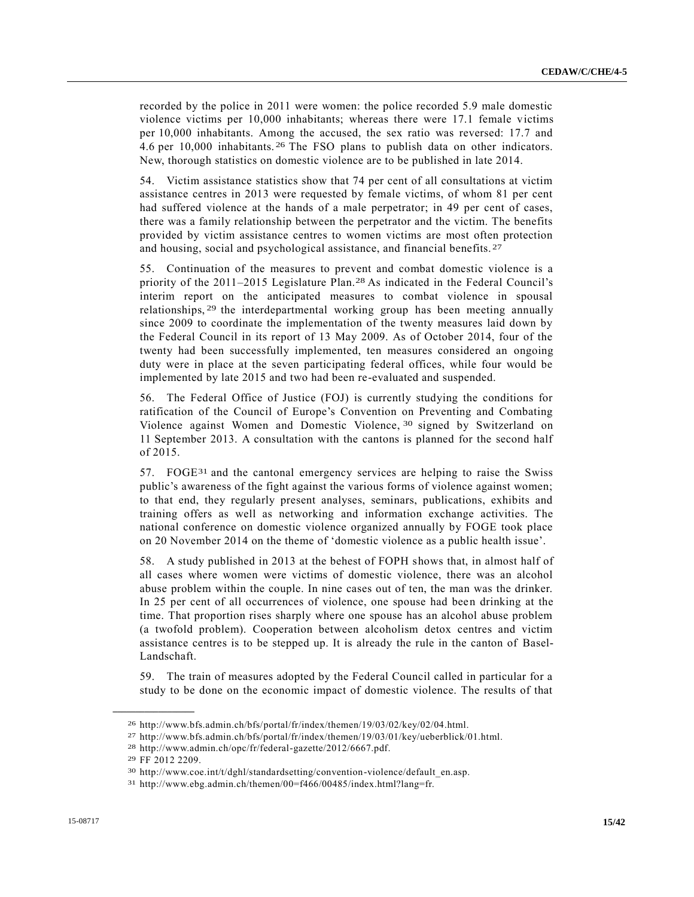recorded by the police in 2011 were women: the police recorded 5.9 male domestic violence victims per 10,000 inhabitants; whereas there were 17.1 female victims per 10,000 inhabitants. Among the accused, the sex ratio was reversed: 17.7 and 4.6 per 10,000 inhabitants. 26 The FSO plans to publish data on other indicators. New, thorough statistics on domestic violence are to be published in late 2014.

54. Victim assistance statistics show that 74 per cent of all consultations at victim assistance centres in 2013 were requested by female victims, of whom 81 per cent had suffered violence at the hands of a male perpetrator; in 49 per cent of cases, there was a family relationship between the perpetrator and the victim. The benefits provided by victim assistance centres to women victims are most often protection and housing, social and psychological assistance, and financial benefits. 27

55. Continuation of the measures to prevent and combat domestic violence is a priority of the 2011–2015 Legislature Plan.28 As indicated in the Federal Council's interim report on the anticipated measures to combat violence in spousal relationships, 29 the interdepartmental working group has been meeting annually since 2009 to coordinate the implementation of the twenty measures laid down by the Federal Council in its report of 13 May 2009. As of October 2014, four of the twenty had been successfully implemented, ten measures considered an ongoing duty were in place at the seven participating federal offices, while four would be implemented by late 2015 and two had been re-evaluated and suspended.

56. The Federal Office of Justice (FOJ) is currently studying the conditions for ratification of the Council of Europe's Convention on Preventing and Combating Violence against Women and Domestic Violence, 30 signed by Switzerland on 11 September 2013. A consultation with the cantons is planned for the second half of 2015.

 $57.$  FOGE<sup>31</sup> and the cantonal emergency services are helping to raise the Swiss public's awareness of the fight against the various forms of violence against women; to that end, they regularly present analyses, seminars, publications, exhibits and training offers as well as networking and information exchange activities. The national conference on domestic violence organized annually by FOGE took place on 20 November 2014 on the theme of 'domestic violence as a public health issue'.

58. A study published in 2013 at the behest of FOPH shows that, in almost half of all cases where women were victims of domestic violence, there was an alcohol abuse problem within the couple. In nine cases out of ten, the man was the drinker. In 25 per cent of all occurrences of violence, one spouse had been drinking at the time. That proportion rises sharply where one spouse has an alcohol abuse problem (a twofold problem). Cooperation between alcoholism detox centres and victim assistance centres is to be stepped up. It is already the rule in the canton of Basel-Landschaft.

59. The train of measures adopted by the Federal Council called in particular for a study to be done on the economic impact of domestic violence. The results of that

<sup>26</sup> http://www.bfs.admin.ch/bfs/portal/fr/index/themen/19/03/02/key/02/04.html.

<sup>27</sup> http://www.bfs.admin.ch/bfs/portal/fr/index/themen/19/03/01/key/ueberblick/01.html.

<sup>28</sup> http://www.admin.ch/opc/fr/federal-gazette/2012/6667.pdf.

<sup>29</sup> FF 2012 2209.

<sup>30</sup> http://www.coe.int/t/dghl/standardsetting/convention-violence/default\_en.asp.

<sup>31</sup> http://www.ebg.admin.ch/themen/00=f466/00485/index.html?lang=fr.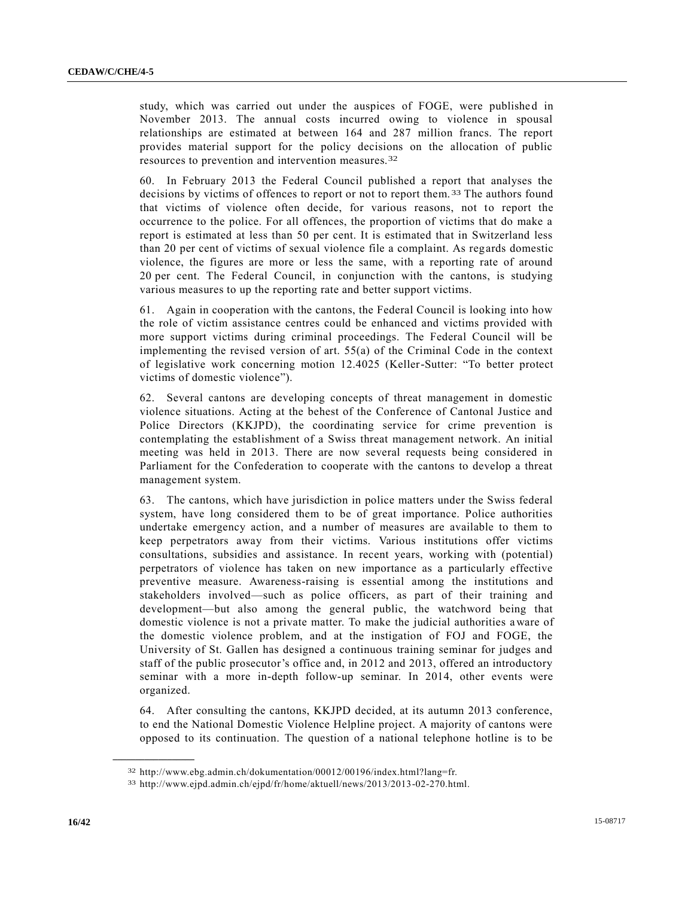study, which was carried out under the auspices of FOGE, were published in November 2013. The annual costs incurred owing to violence in spousal relationships are estimated at between 164 and 287 million francs. The report provides material support for the policy decisions on the allocation of public resources to prevention and intervention measures.32

60. In February 2013 the Federal Council published a report that analyses the decisions by victims of offences to report or not to report them. 33 The authors found that victims of violence often decide, for various reasons, not to report the occurrence to the police. For all offences, the proportion of victims that do make a report is estimated at less than 50 per cent. It is estimated that in Switzerland less than 20 per cent of victims of sexual violence file a complaint. As regards domestic violence, the figures are more or less the same, with a reporting rate of around 20 per cent. The Federal Council, in conjunction with the cantons, is studying various measures to up the reporting rate and better support victims.

61. Again in cooperation with the cantons, the Federal Council is looking into how the role of victim assistance centres could be enhanced and victims provided with more support victims during criminal proceedings. The Federal Council will be implementing the revised version of art. 55(a) of the Criminal Code in the context of legislative work concerning motion 12.4025 (Keller-Sutter: "To better protect victims of domestic violence").

62. Several cantons are developing concepts of threat management in domestic violence situations. Acting at the behest of the Conference of Cantonal Justice and Police Directors (KKJPD), the coordinating service for crime prevention is contemplating the establishment of a Swiss threat management network. An initial meeting was held in 2013. There are now several requests being considered in Parliament for the Confederation to cooperate with the cantons to develop a threat management system.

63. The cantons, which have jurisdiction in police matters under the Swiss federal system, have long considered them to be of great importance. Police authorities undertake emergency action, and a number of measures are available to them to keep perpetrators away from their victims. Various institutions offer victims consultations, subsidies and assistance. In recent years, working with (potential) perpetrators of violence has taken on new importance as a particularly effective preventive measure. Awareness-raising is essential among the institutions and stakeholders involved—such as police officers, as part of their training and development—but also among the general public, the watchword being that domestic violence is not a private matter. To make the judicial authorities aware of the domestic violence problem, and at the instigation of FOJ and FOGE, the University of St. Gallen has designed a continuous training seminar for judges and staff of the public prosecutor's office and, in 2012 and 2013, offered an introductory seminar with a more in-depth follow-up seminar. In 2014, other events were organized.

64. After consulting the cantons, KKJPD decided, at its autumn 2013 conference, to end the National Domestic Violence Helpline project. A majority of cantons were opposed to its continuation. The question of a national telephone hotline is to be

<sup>32</sup> http://www.ebg.admin.ch/dokumentation/00012/00196/index.html?lang=fr.

<sup>33</sup> http://www.ejpd.admin.ch/ejpd/fr/home/aktuell/news/2013/2013-02-270.html.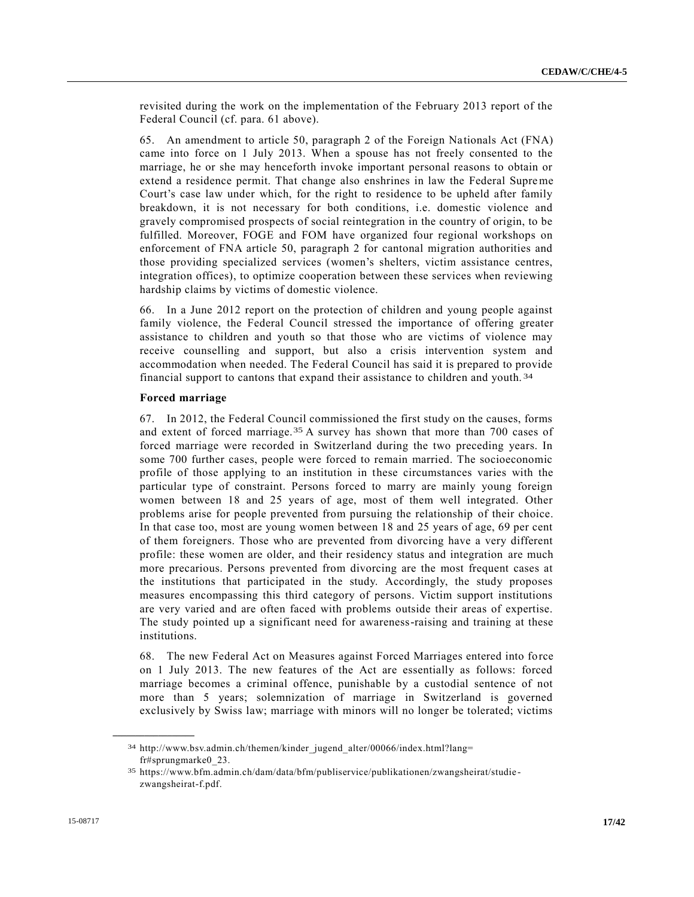revisited during the work on the implementation of the February 2013 report of the Federal Council (cf. para. 61 above).

65. An amendment to article 50, paragraph 2 of the Foreign Nationals Act (FNA) came into force on 1 July 2013. When a spouse has not freely consented to the marriage, he or she may henceforth invoke important personal reasons to obtain or extend a residence permit. That change also enshrines in law the Federal Supreme Court's case law under which, for the right to residence to be upheld after family breakdown, it is not necessary for both conditions, i.e. domestic violence and gravely compromised prospects of social reintegration in the country of origin, to be fulfilled. Moreover, FOGE and FOM have organized four regional workshops on enforcement of FNA article 50, paragraph 2 for cantonal migration authorities and those providing specialized services (women's shelters, victim assistance centres, integration offices), to optimize cooperation between these services when reviewing hardship claims by victims of domestic violence.

66. In a June 2012 report on the protection of children and young people against family violence, the Federal Council stressed the importance of offering greater assistance to children and youth so that those who are victims of violence may receive counselling and support, but also a crisis intervention system and accommodation when needed. The Federal Council has said it is prepared to provide financial support to cantons that expand their assistance to children and youth. 34

#### **Forced marriage**

67. In 2012, the Federal Council commissioned the first study on the causes, forms and extent of forced marriage.35 A survey has shown that more than 700 cases of forced marriage were recorded in Switzerland during the two preceding years. In some 700 further cases, people were forced to remain married. The socioeconomic profile of those applying to an institution in these circumstances varies with the particular type of constraint. Persons forced to marry are mainly young foreign women between 18 and 25 years of age, most of them well integrated. Other problems arise for people prevented from pursuing the relationship of their choice. In that case too, most are young women between 18 and 25 years of age, 69 per cent of them foreigners. Those who are prevented from divorcing have a very different profile: these women are older, and their residency status and integration are much more precarious. Persons prevented from divorcing are the most frequent cases at the institutions that participated in the study. Accordingly, the study proposes measures encompassing this third category of persons. Victim support institutions are very varied and are often faced with problems outside their areas of expertise. The study pointed up a significant need for awareness-raising and training at these institutions.

68. The new Federal Act on Measures against Forced Marriages entered into force on 1 July 2013. The new features of the Act are essentially as follows: forced marriage becomes a criminal offence, punishable by a custodial sentence of not more than 5 years; solemnization of marriage in Switzerland is governed exclusively by Swiss law; marriage with minors will no longer be tolerated; victims

<sup>34</sup> http://www.bsv.admin.ch/themen/kinder\_jugend\_alter/00066/index.html?lang= fr#sprungmarke0\_23.

<sup>35</sup> https://www.bfm.admin.ch/dam/data/bfm/publiservice/publikationen/zwangsheirat/studie zwangsheirat-f.pdf.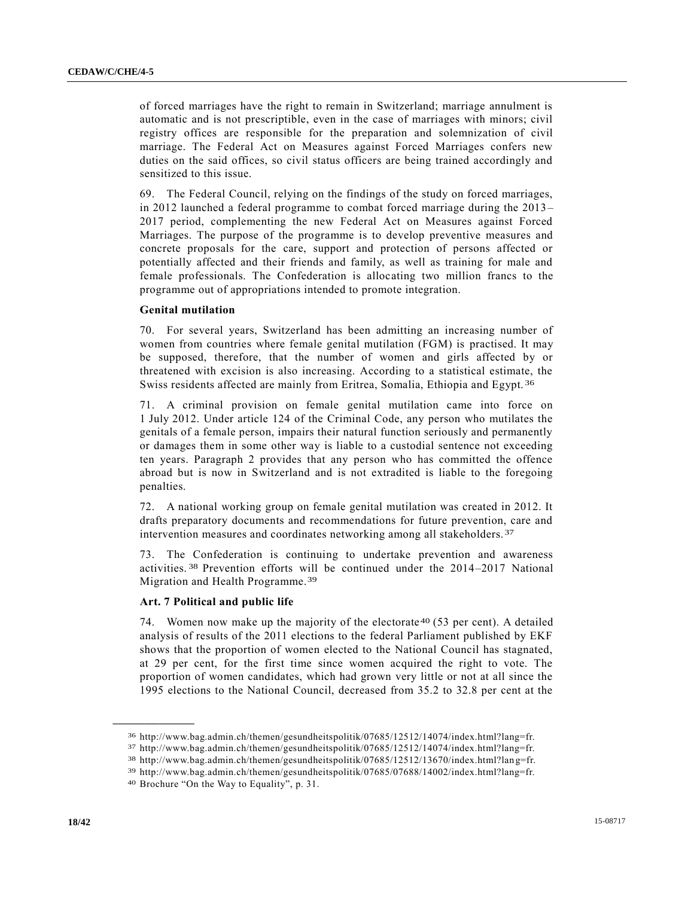of forced marriages have the right to remain in Switzerland; marriage annulment is automatic and is not prescriptible, even in the case of marriages with minors; civil registry offices are responsible for the preparation and solemnization of civil marriage. The Federal Act on Measures against Forced Marriages confers new duties on the said offices, so civil status officers are being trained accordingly and sensitized to this issue.

69. The Federal Council, relying on the findings of the study on forced marriages, in 2012 launched a federal programme to combat forced marriage during the 2013 – 2017 period, complementing the new Federal Act on Measures against Forced Marriages. The purpose of the programme is to develop preventive measures and concrete proposals for the care, support and protection of persons affected or potentially affected and their friends and family, as well as training for male and female professionals. The Confederation is allocating two million francs to the programme out of appropriations intended to promote integration.

#### **Genital mutilation**

70. For several years, Switzerland has been admitting an increasing number of women from countries where female genital mutilation (FGM) is practised. It may be supposed, therefore, that the number of women and girls affected by or threatened with excision is also increasing. According to a statistical estimate, the Swiss residents affected are mainly from Eritrea, Somalia, Ethiopia and Egypt. 36

71. A criminal provision on female genital mutilation came into force on 1 July 2012. Under article 124 of the Criminal Code, any person who mutilates the genitals of a female person, impairs their natural function seriously and permanently or damages them in some other way is liable to a custodial sentence not exceeding ten years. Paragraph 2 provides that any person who has committed the offence abroad but is now in Switzerland and is not extradited is liable to the foregoing penalties.

72. A national working group on female genital mutilation was created in 2012. It drafts preparatory documents and recommendations for future prevention, care and intervention measures and coordinates networking among all stakeholders. 37

73. The Confederation is continuing to undertake prevention and awareness activities. 38 Prevention efforts will be continued under the 2014–2017 National Migration and Health Programme.39

#### **Art. 7 Political and public life**

74. Women now make up the majority of the electorate 40 (53 per cent). A detailed analysis of results of the 2011 elections to the federal Parliament published by EKF shows that the proportion of women elected to the National Council has stagnated, at 29 per cent, for the first time since women acquired the right to vote. The proportion of women candidates, which had grown very little or not at all since the 1995 elections to the National Council, decreased from 35.2 to 32.8 per cent at the

<sup>36</sup> http://www.bag.admin.ch/themen/gesundheitspolitik/07685/12512/14074/index.html?lang=fr.

<sup>37</sup> http://www.bag.admin.ch/themen/gesundheitspolitik/07685/12512/14074/index.html?lang=fr.

<sup>38</sup> http://www.bag.admin.ch/themen/gesundheitspolitik/07685/12512/13670/index.html?lan g=fr.

<sup>39</sup> http://www.bag.admin.ch/themen/gesundheitspolitik/07685/07688/14002/index.html?lang=fr.

<sup>40</sup> Brochure "On the Way to Equality", p. 31.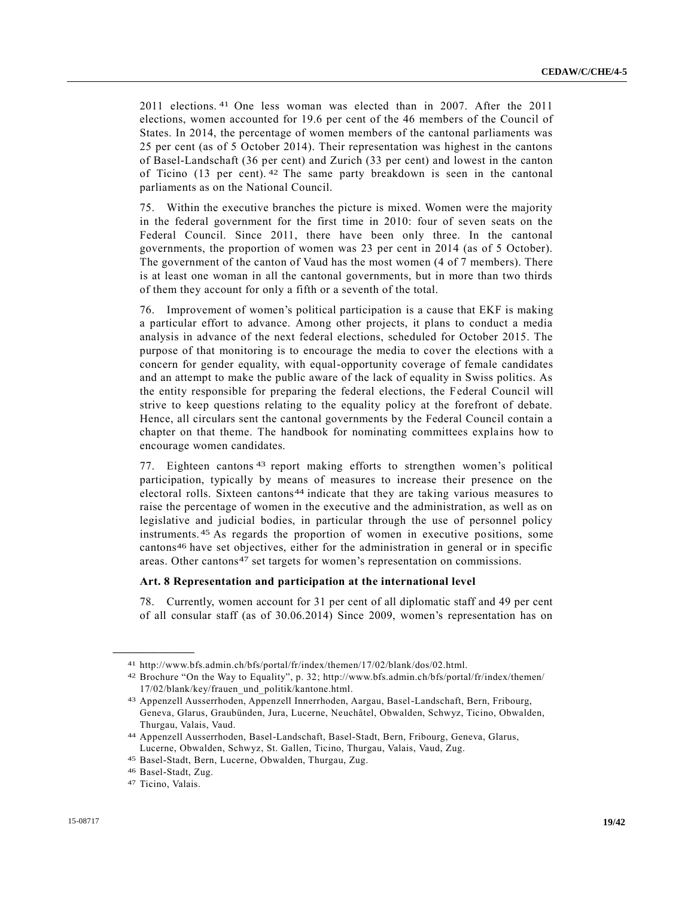2011 elections. 41 One less woman was elected than in 2007. After the 2011 elections, women accounted for 19.6 per cent of the 46 members of the Council of States. In 2014, the percentage of women members of the cantonal parliaments was 25 per cent (as of 5 October 2014). Their representation was highest in the cantons of Basel-Landschaft (36 per cent) and Zurich (33 per cent) and lowest in the canton of Ticino (13 per cent). 42 The same party breakdown is seen in the cantonal parliaments as on the National Council.

75. Within the executive branches the picture is mixed. Women were the majority in the federal government for the first time in 2010: four of seven seats on the Federal Council. Since 2011, there have been only three. In the cantonal governments, the proportion of women was 23 per cent in 2014 (as of 5 October). The government of the canton of Vaud has the most women (4 of 7 members). There is at least one woman in all the cantonal governments, but in more than two thirds of them they account for only a fifth or a seventh of the total.

76. Improvement of women's political participation is a cause that EKF is making a particular effort to advance. Among other projects, it plans to conduct a media analysis in advance of the next federal elections, scheduled for October 2015. The purpose of that monitoring is to encourage the media to cover the elections with a concern for gender equality, with equal-opportunity coverage of female candidates and an attempt to make the public aware of the lack of equality in Swiss politics. As the entity responsible for preparing the federal elections, the Federal Council will strive to keep questions relating to the equality policy at the forefront of debate. Hence, all circulars sent the cantonal governments by the Federal Council contain a chapter on that theme. The handbook for nominating committees explains how to encourage women candidates.

77. Eighteen cantons 43 report making efforts to strengthen women's political participation, typically by means of measures to increase their presence on the electoral rolls. Sixteen cantons44 indicate that they are taking various measures to raise the percentage of women in the executive and the administration, as well as on legislative and judicial bodies, in particular through the use of personnel policy instruments. 45 As regards the proportion of women in executive positions, some cantons46 have set objectives, either for the administration in general or in specific areas. Other cantons<sup>47</sup> set targets for women's representation on commissions.

#### **Art. 8 Representation and participation at the international level**

78. Currently, women account for 31 per cent of all diplomatic staff and 49 per cent of all consular staff (as of 30.06.2014) Since 2009, women's representation has on

<sup>41</sup> http://www.bfs.admin.ch/bfs/portal/fr/index/themen/17/02/blank/dos/02.html.

<sup>42</sup> Brochure "On the Way to Equality", p. 32; http://www.bfs.admin.ch/bfs/portal/fr/index/themen/ 17/02/blank/key/frauen\_und\_politik/kantone.html.

<sup>43</sup> Appenzell Ausserrhoden, Appenzell Innerrhoden, Aargau, Basel-Landschaft, Bern, Fribourg, Geneva, Glarus, Graubünden, Jura, Lucerne, Neuchâtel, Obwalden, Schwyz, Ticino, Obwalden, Thurgau, Valais, Vaud.

<sup>44</sup> Appenzell Ausserrhoden, Basel-Landschaft, Basel-Stadt, Bern, Fribourg, Geneva, Glarus, Lucerne, Obwalden, Schwyz, St. Gallen, Ticino, Thurgau, Valais, Vaud, Zug.

<sup>45</sup> Basel-Stadt, Bern, Lucerne, Obwalden, Thurgau, Zug.

<sup>46</sup> Basel-Stadt, Zug.

<sup>47</sup> Ticino, Valais.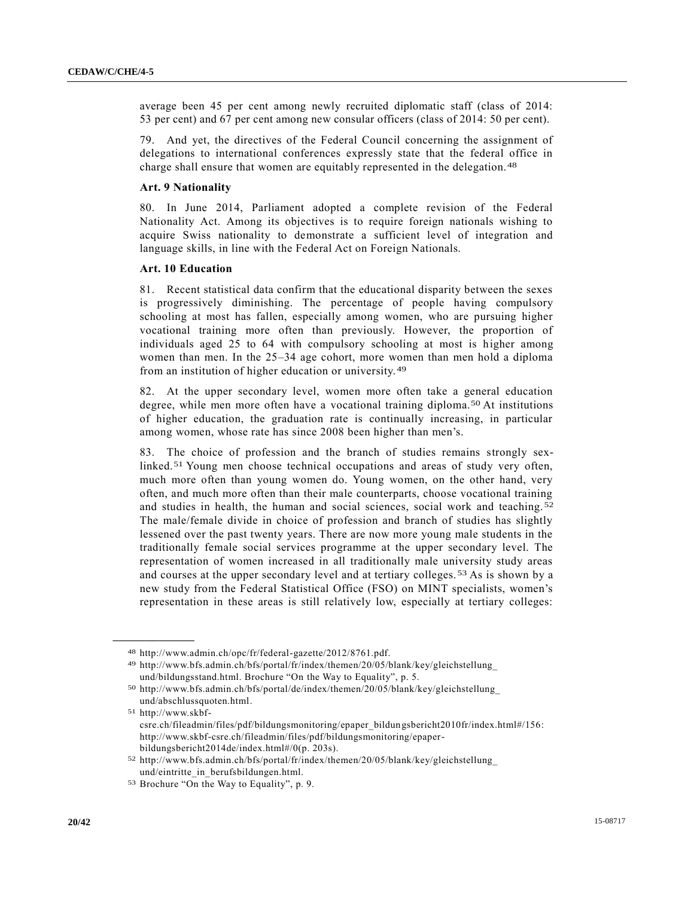average been 45 per cent among newly recruited diplomatic staff (class of 2014: 53 per cent) and 67 per cent among new consular officers (class of 2014: 50 per cent).

79. And yet, the directives of the Federal Council concerning the assignment of delegations to international conferences expressly state that the federal office in charge shall ensure that women are equitably represented in the delegation. 48

#### **Art. 9 Nationality**

80. In June 2014, Parliament adopted a complete revision of the Federal Nationality Act. Among its objectives is to require foreign nationals wishing to acquire Swiss nationality to demonstrate a sufficient level of integration and language skills, in line with the Federal Act on Foreign Nationals.

#### **Art. 10 Education**

81. Recent statistical data confirm that the educational disparity between the sexes is progressively diminishing. The percentage of people having compulsory schooling at most has fallen, especially among women, who are pursuing higher vocational training more often than previously. However, the proportion of individuals aged 25 to 64 with compulsory schooling at most is higher among women than men. In the 25–34 age cohort, more women than men hold a diploma from an institution of higher education or university. 49

82. At the upper secondary level, women more often take a general education degree, while men more often have a vocational training diploma.50 At institutions of higher education, the graduation rate is continually increasing, in particular among women, whose rate has since 2008 been higher than men's.

83. The choice of profession and the branch of studies remains strongly sexlinked.51 Young men choose technical occupations and areas of study very often, much more often than young women do. Young women, on the other hand, very often, and much more often than their male counterparts, choose vocational training and studies in health, the human and social sciences, social work and teaching. 52 The male/female divide in choice of profession and branch of studies has slightly lessened over the past twenty years. There are now more young male students in the traditionally female social services programme at the upper secondary level. The representation of women increased in all traditionally male university study areas and courses at the upper secondary level and at tertiary colleges. 53 As is shown by a new study from the Federal Statistical Office (FSO) on MINT specialists, women's representation in these areas is still relatively low, especially at tertiary colleges:

51 http://www.skbfcsre.ch/fileadmin/files/pdf/bildungsmonitoring/epaper\_bildungsbericht2010fr/index.html#/156: http://www.skbf-csre.ch/fileadmin/files/pdf/bildungsmonitoring/epaperbildungsbericht2014de/index.html#/0(p. 203s).

<sup>48</sup> http://www.admin.ch/opc/fr/federal-gazette/2012/8761.pdf.

<sup>49</sup> http://www.bfs.admin.ch/bfs/portal/fr/index/themen/20/05/blank/key/gleichstellung\_ und/bildungsstand.html. Brochure "On the Way to Equality", p. 5.

<sup>50</sup> http://www.bfs.admin.ch/bfs/portal/de/index/themen/20/05/blank/key/gleichstellung\_ und/abschlussquoten.html.

<sup>52</sup> http://www.bfs.admin.ch/bfs/portal/fr/index/themen/20/05/blank/key/gleichstellung\_ und/eintritte\_in\_berufsbildungen.html.

<sup>53</sup> Brochure "On the Way to Equality", p. 9.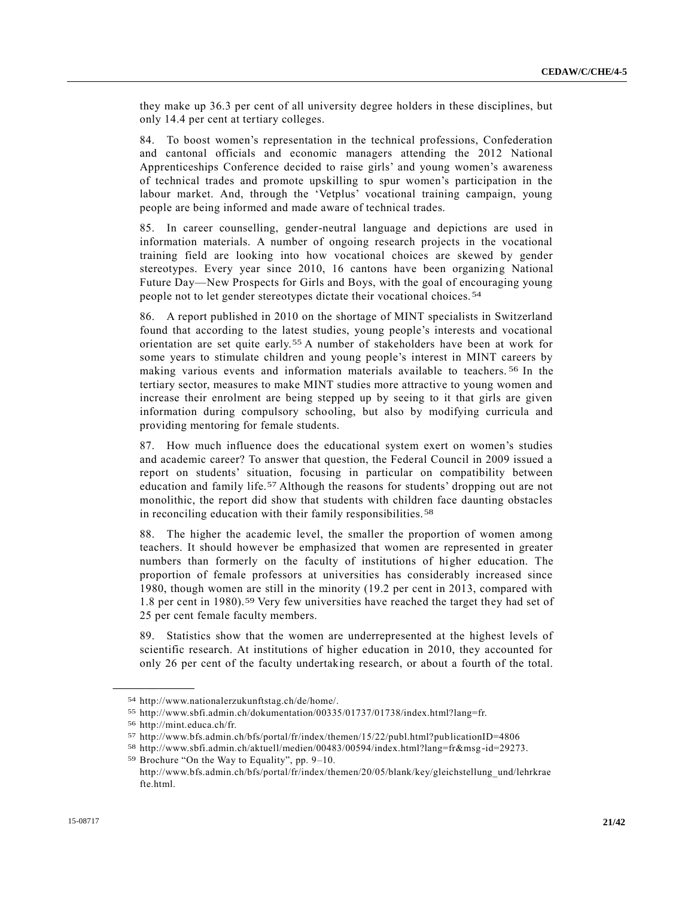they make up 36.3 per cent of all university degree holders in these disciplines, but only 14.4 per cent at tertiary colleges.

84. To boost women's representation in the technical professions, Confederation and cantonal officials and economic managers attending the 2012 National Apprenticeships Conference decided to raise girls' and young women's awareness of technical trades and promote upskilling to spur women's participation in the labour market. And, through the 'Vetplus' vocational training campaign, young people are being informed and made aware of technical trades.

85. In career counselling, gender-neutral language and depictions are used in information materials. A number of ongoing research projects in the vocational training field are looking into how vocational choices are skewed by gender stereotypes. Every year since 2010, 16 cantons have been organizing National Future Day—New Prospects for Girls and Boys, with the goal of encouraging young people not to let gender stereotypes dictate their vocational choices. 54

86. A report published in 2010 on the shortage of MINT specialists in Switzerland found that according to the latest studies, young people's interests and vocational orientation are set quite early.55 A number of stakeholders have been at work for some years to stimulate children and young people's interest in MINT careers by making various events and information materials available to teachers. 56 In the tertiary sector, measures to make MINT studies more attractive to young women and increase their enrolment are being stepped up by seeing to it that girls are given information during compulsory schooling, but also by modifying curricula and providing mentoring for female students.

87. How much influence does the educational system exert on women's studies and academic career? To answer that question, the Federal Council in 2009 issued a report on students' situation, focusing in particular on compatibility between education and family life.57 Although the reasons for students' dropping out are not monolithic, the report did show that students with children face daunting obstacles in reconciling education with their family responsibilities.<sup>58</sup>

88. The higher the academic level, the smaller the proportion of women among teachers. It should however be emphasized that women are represented in greater numbers than formerly on the faculty of institutions of higher education. The proportion of female professors at universities has considerably increased since 1980, though women are still in the minority (19.2 per cent in 2013, compared with 1.8 per cent in 1980).59 Very few universities have reached the target they had set of 25 per cent female faculty members.

89. Statistics show that the women are underrepresented at the highest levels of scientific research. At institutions of higher education in 2010, they accounted for only 26 per cent of the faculty undertaking research, or about a fourth of the total.

<sup>54</sup> http://www.nationalerzukunftstag.ch/de/home/.

<sup>55</sup> http://www.sbfi.admin.ch/dokumentation/00335/01737/01738/index.html?lang=fr.

<sup>56</sup> http://mint.educa.ch/fr.

<sup>57</sup> http://www.bfs.admin.ch/bfs/portal/fr/index/themen/15/22/publ.html?publicationID=4806

<sup>58</sup> http://www.sbfi.admin.ch/aktuell/medien/00483/00594/index.html?lang=fr&msg -id=29273.

<sup>59</sup> Brochure "On the Way to Equality", pp. 9–10.

http://www.bfs.admin.ch/bfs/portal/fr/index/themen/20/05/blank/key/gleichstellung\_und/lehrkrae fte.html.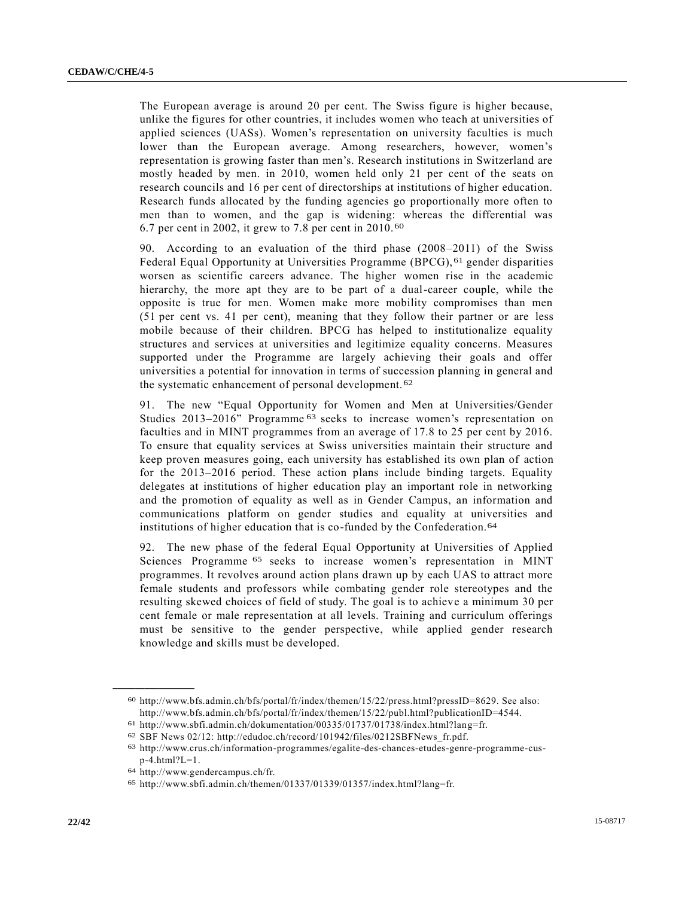The European average is around 20 per cent. The Swiss figure is higher because, unlike the figures for other countries, it includes women who teach at universities of applied sciences (UASs). Women's representation on university faculties is much lower than the European average. Among researchers, however, women's representation is growing faster than men's. Research institutions in Switzerland are mostly headed by men. in 2010, women held only 21 per cent of the seats on research councils and 16 per cent of directorships at institutions of higher education. Research funds allocated by the funding agencies go proportionally more often to men than to women, and the gap is widening: whereas the differential was 6.7 per cent in 2002, it grew to 7.8 per cent in 2010. 60

90. According to an evaluation of the third phase (2008–2011) of the Swiss Federal Equal Opportunity at Universities Programme (BPCG), 61 gender disparities worsen as scientific careers advance. The higher women rise in the academic hierarchy, the more apt they are to be part of a dual-career couple, while the opposite is true for men. Women make more mobility compromises than men (51 per cent vs. 41 per cent), meaning that they follow their partner or are less mobile because of their children. BPCG has helped to institutionalize equality structures and services at universities and legitimize equality concerns. Measures supported under the Programme are largely achieving their goals and offer universities a potential for innovation in terms of succession planning in general and the systematic enhancement of personal development. 62

91. The new "Equal Opportunity for Women and Men at Universities/Gender Studies 2013–2016" Programme 63 seeks to increase women's representation on faculties and in MINT programmes from an average of 17.8 to 25 per cent by 2016. To ensure that equality services at Swiss universities maintain their structure and keep proven measures going, each university has established its own plan of action for the 2013–2016 period. These action plans include binding targets. Equality delegates at institutions of higher education play an important role in networking and the promotion of equality as well as in Gender Campus, an information and communications platform on gender studies and equality at universities and institutions of higher education that is co-funded by the Confederation.<sup>64</sup>

92. The new phase of the federal Equal Opportunity at Universities of Applied Sciences Programme 65 seeks to increase women's representation in MINT programmes. It revolves around action plans drawn up by each UAS to attract more female students and professors while combating gender role stereotypes and the resulting skewed choices of field of study. The goal is to achieve a minimum 30 per cent female or male representation at all levels. Training and curriculum offerings must be sensitive to the gender perspective, while applied gender research knowledge and skills must be developed.

<sup>60</sup> http://www.bfs.admin.ch/bfs/portal/fr/index/themen/15/22/press.html?pressID=8629. See also: http://www.bfs.admin.ch/bfs/portal/fr/index/themen/15/22/publ.html?publicationID=4544.

<sup>61</sup> http://www.sbfi.admin.ch/dokumentation/00335/01737/01738/index.html?lang=fr.

<sup>62</sup> SBF News 02/12: http://edudoc.ch/record/101942/files/0212SBFNews\_fr.pdf.

<sup>63</sup> http://www.crus.ch/information-programmes/egalite-des-chances-etudes-genre-programme-cus $p-4.html?L=1.$ 

<sup>64</sup> http://www.gendercampus.ch/fr.

<sup>65</sup> http://www.sbfi.admin.ch/themen/01337/01339/01357/index.html?lang=fr.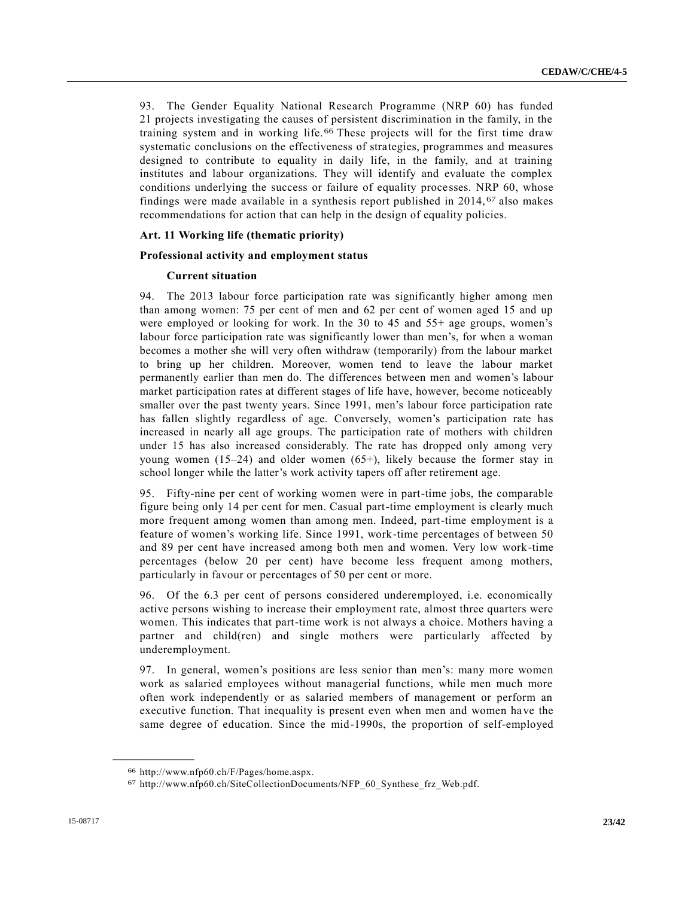93. The Gender Equality National Research Programme (NRP 60) has funded 21 projects investigating the causes of persistent discrimination in the family, in the training system and in working life. 66 These projects will for the first time draw systematic conclusions on the effectiveness of strategies, programmes and measures designed to contribute to equality in daily life, in the family, and at training institutes and labour organizations. They will identify and evaluate the complex conditions underlying the success or failure of equality processes. NRP 60, whose findings were made available in a synthesis report published in 2014, 67 also makes recommendations for action that can help in the design of equality policies.

#### **Art. 11 Working life (thematic priority)**

#### **Professional activity and employment status**

#### **Current situation**

94. The 2013 labour force participation rate was significantly higher among men than among women: 75 per cent of men and 62 per cent of women aged 15 and up were employed or looking for work. In the 30 to 45 and 55+ age groups, women's labour force participation rate was significantly lower than men's, for when a woman becomes a mother she will very often withdraw (temporarily) from the labour market to bring up her children. Moreover, women tend to leave the labour market permanently earlier than men do. The differences between men and women's labour market participation rates at different stages of life have, however, become noticeably smaller over the past twenty years. Since 1991, men's labour force participation rate has fallen slightly regardless of age. Conversely, women's participation rate has increased in nearly all age groups. The participation rate of mothers with children under 15 has also increased considerably. The rate has dropped only among very young women (15–24) and older women (65+), likely because the former stay in school longer while the latter's work activity tapers off after retirement age.

95. Fifty-nine per cent of working women were in part-time jobs, the comparable figure being only 14 per cent for men. Casual part-time employment is clearly much more frequent among women than among men. Indeed, part-time employment is a feature of women's working life. Since 1991, work-time percentages of between 50 and 89 per cent have increased among both men and women. Very low work-time percentages (below 20 per cent) have become less frequent among mothers, particularly in favour or percentages of 50 per cent or more.

96. Of the 6.3 per cent of persons considered underemployed, i.e. economically active persons wishing to increase their employment rate, almost three quarters were women. This indicates that part-time work is not always a choice. Mothers having a partner and child(ren) and single mothers were particularly affected by underemployment.

97. In general, women's positions are less senior than men's: many more women work as salaried employees without managerial functions, while men much more often work independently or as salaried members of management or perform an executive function. That inequality is present even when men and women ha ve the same degree of education. Since the mid-1990s, the proportion of self-employed

<sup>66</sup> http://www.nfp60.ch/F/Pages/home.aspx.

<sup>67</sup> http://www.nfp60.ch/SiteCollectionDocuments/NFP\_60\_Synthese\_frz\_Web.pdf.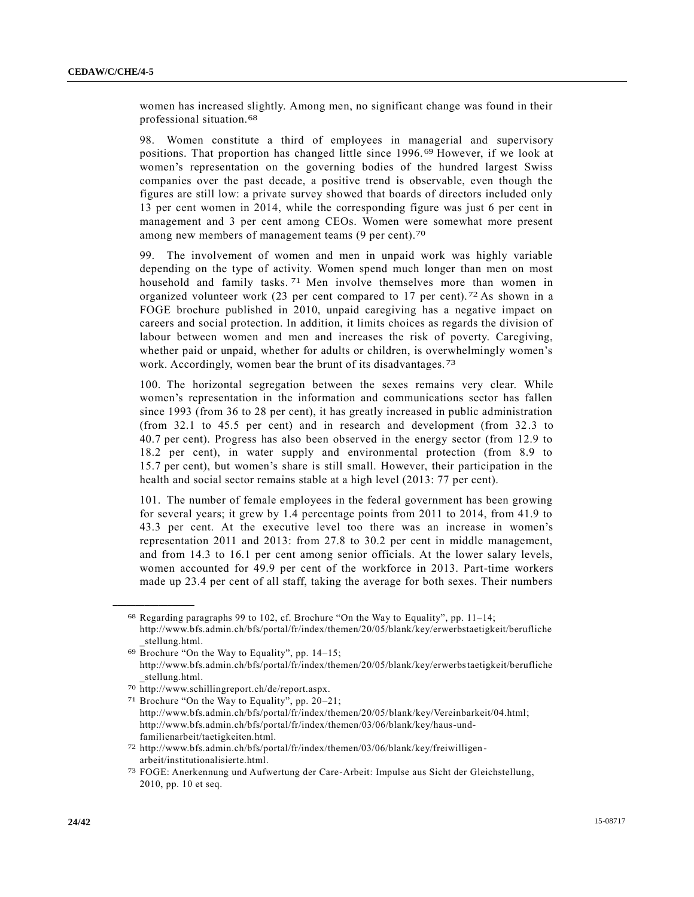women has increased slightly. Among men, no significant change was found in their professional situation.68

98. Women constitute a third of employees in managerial and supervisory positions. That proportion has changed little since 1996. 69 However, if we look at women's representation on the governing bodies of the hundred largest Swiss companies over the past decade, a positive trend is observable, even though the figures are still low: a private survey showed that boards of directors included only 13 per cent women in 2014, while the corresponding figure was just 6 per cent in management and 3 per cent among CEOs. Women were somewhat more present among new members of management teams (9 per cent).70

99. The involvement of women and men in unpaid work was highly variable depending on the type of activity. Women spend much longer than men on most household and family tasks. 71 Men involve themselves more than women in organized volunteer work (23 per cent compared to 17 per cent). 72 As shown in a FOGE brochure published in 2010, unpaid caregiving has a negative impact on careers and social protection. In addition, it limits choices as regards the division of labour between women and men and increases the risk of poverty. Caregiving, whether paid or unpaid, whether for adults or children, is overwhelmingly women's work. Accordingly, women bear the brunt of its disadvantages. 73

100. The horizontal segregation between the sexes remains very clear. While women's representation in the information and communications sector has fallen since 1993 (from 36 to 28 per cent), it has greatly increased in public administration (from 32.1 to 45.5 per cent) and in research and development (from 32.3 to 40.7 per cent). Progress has also been observed in the energy sector (from 12.9 to 18.2 per cent), in water supply and environmental protection (from 8.9 to 15.7 per cent), but women's share is still small. However, their participation in the health and social sector remains stable at a high level (2013: 77 per cent).

101. The number of female employees in the federal government has been growing for several years; it grew by 1.4 percentage points from 2011 to 2014, from 41.9 to 43.3 per cent. At the executive level too there was an increase in women's representation 2011 and 2013: from 27.8 to 30.2 per cent in middle management, and from 14.3 to 16.1 per cent among senior officials. At the lower salary levels, women accounted for 49.9 per cent of the workforce in 2013. Part-time workers made up 23.4 per cent of all staff, taking the average for both sexes. Their numbers

<sup>68</sup> Regarding paragraphs 99 to 102, cf. Brochure "On the Way to Equality", pp. 11–14; http://www.bfs.admin.ch/bfs/portal/fr/index/themen/20/05/blank/key/erwerbstaetigkeit/berufliche \_stellung.html.

<sup>69</sup> Brochure "On the Way to Equality", pp. 14–15; http://www.bfs.admin.ch/bfs/portal/fr/index/themen/20/05/blank/key/erwerbstaetigkeit/berufliche stellung.html.

<sup>70</sup> http://www.schillingreport.ch/de/report.aspx.

<sup>71</sup> Brochure "On the Way to Equality", pp. 20–21; http://www.bfs.admin.ch/bfs/portal/fr/index/themen/20/05/blank/key/Vereinbarkeit/04.html; http://www.bfs.admin.ch/bfs/portal/fr/index/themen/03/06/blank/key/haus-undfamilienarbeit/taetigkeiten.html.

<sup>72</sup> http://www.bfs.admin.ch/bfs/portal/fr/index/themen/03/06/blank/key/freiwilligen arbeit/institutionalisierte.html.

<sup>73</sup> FOGE: Anerkennung und Aufwertung der Care-Arbeit: Impulse aus Sicht der Gleichstellung, 2010, pp. 10 et seq.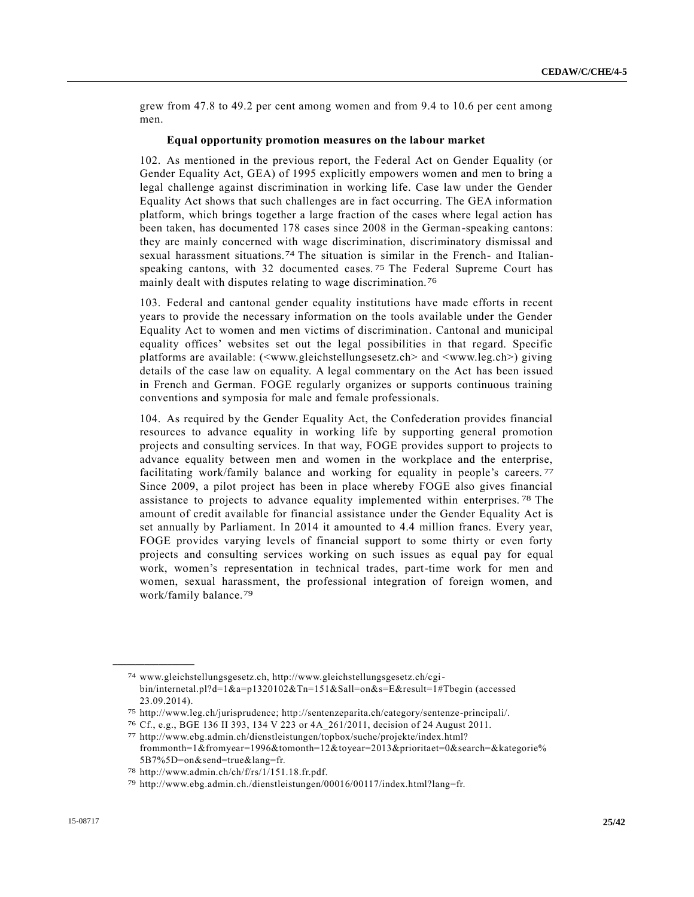grew from 47.8 to 49.2 per cent among women and from 9.4 to 10.6 per cent among men.

#### **Equal opportunity promotion measures on the labour market**

102. As mentioned in the previous report, the Federal Act on Gender Equality (or Gender Equality Act, GEA) of 1995 explicitly empowers women and men to bring a legal challenge against discrimination in working life. Case law under the Gender Equality Act shows that such challenges are in fact occurring. The GEA information platform, which brings together a large fraction of the cases where legal action has been taken, has documented 178 cases since 2008 in the German-speaking cantons: they are mainly concerned with wage discrimination, discriminatory dismissal and sexual harassment situations.74 The situation is similar in the French- and Italianspeaking cantons, with 32 documented cases.<sup>75</sup> The Federal Supreme Court has mainly dealt with disputes relating to wage discrimination.<sup>76</sup>

103. Federal and cantonal gender equality institutions have made efforts in recent years to provide the necessary information on the tools available under the Gender Equality Act to women and men victims of discrimination. Cantonal and municipal equality offices' websites set out the legal possibilities in that regard. Specific platforms are available: (<www.gleichstellungsesetz.ch> and <www.leg.ch>) giving details of the case law on equality. A legal commentary on the Act has been issued in French and German. FOGE regularly organizes or supports continuous training conventions and symposia for male and female professionals.

104. As required by the Gender Equality Act, the Confederation provides financial resources to advance equality in working life by supporting general promotion projects and consulting services. In that way, FOGE provides support to projects to advance equality between men and women in the workplace and the enterprise, facilitating work/family balance and working for equality in people's careers.<sup>77</sup> Since 2009, a pilot project has been in place whereby FOGE also gives financial assistance to projects to advance equality implemented within enterprises. 78 The amount of credit available for financial assistance under the Gender Equality Act is set annually by Parliament. In 2014 it amounted to 4.4 million francs. Every year, FOGE provides varying levels of financial support to some thirty or even forty projects and consulting services working on such issues as equal pay for equal work, women's representation in technical trades, part-time work for men and women, sexual harassment, the professional integration of foreign women, and work/family balance.79

<sup>74</sup> www.gleichstellungsgesetz.ch, http://www.gleichstellungsgesetz.ch/cgibin/internetal.pl?d=1&a=p1320102&Tn=151&Sall=on&s=E&result=1#Tbegin (accessed 23.09.2014).

<sup>75</sup> http://www.leg.ch/jurisprudence; http://sentenzeparita.ch/category/sentenze-principali/.

<sup>76</sup> Cf., e.g., BGE 136 II 393, 134 V 223 or 4A\_261/2011, decision of 24 August 2011.

<sup>77</sup> http://www.ebg.admin.ch/dienstleistungen/topbox/suche/projekte/index.html? frommonth=1&fromyear=1996&tomonth=12&toyear=2013&prioritaet=0&search=&kategorie% 5B7%5D=on&send=true&lang=fr.

<sup>78</sup> http://www.admin.ch/ch/f/rs/1/151.18.fr.pdf.

<sup>79</sup> http://www.ebg.admin.ch./dienstleistungen/00016/00117/index.html?lang=fr.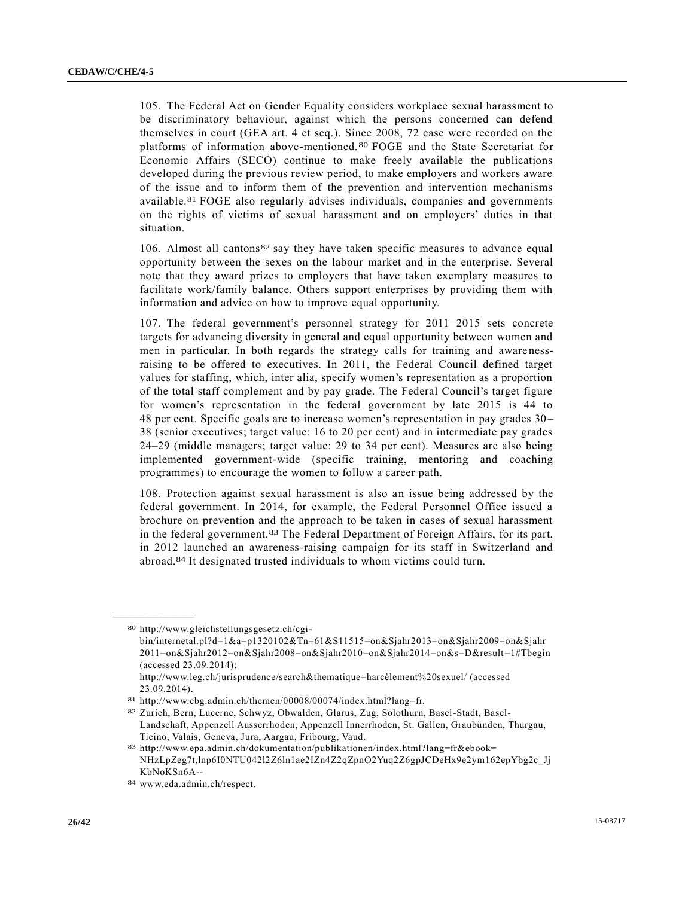105. The Federal Act on Gender Equality considers workplace sexual harassment to be discriminatory behaviour, against which the persons concerned can defend themselves in court (GEA art. 4 et seq.). Since 2008, 72 case were recorded on the platforms of information above-mentioned. 80 FOGE and the State Secretariat for Economic Affairs (SECO) continue to make freely available the publications developed during the previous review period, to make employers and workers aware of the issue and to inform them of the prevention and intervention mechanisms available.81 FOGE also regularly advises individuals, companies and governments on the rights of victims of sexual harassment and on employers' duties in that situation.

106. Almost all cantons82 say they have taken specific measures to advance equal opportunity between the sexes on the labour market and in the enterprise. Several note that they award prizes to employers that have taken exemplary measures to facilitate work/family balance. Others support enterprises by providing them with information and advice on how to improve equal opportunity.

107. The federal government's personnel strategy for 2011–2015 sets concrete targets for advancing diversity in general and equal opportunity between women and men in particular. In both regards the strategy calls for training and aware nessraising to be offered to executives. In 2011, the Federal Council defined target values for staffing, which, inter alia, specify women's representation as a proportion of the total staff complement and by pay grade. The Federal Council's target figure for women's representation in the federal government by late 2015 is 44 to 48 per cent. Specific goals are to increase women's representation in pay grades 30 – 38 (senior executives; target value: 16 to 20 per cent) and in intermediate pay grades 24–29 (middle managers; target value: 29 to 34 per cent). Measures are also being implemented government-wide (specific training, mentoring and coaching programmes) to encourage the women to follow a career path.

108. Protection against sexual harassment is also an issue being addressed by the federal government. In 2014, for example, the Federal Personnel Office issued a brochure on prevention and the approach to be taken in cases of sexual harassment in the federal government.83 The Federal Department of Foreign Affairs, for its part, in 2012 launched an awareness-raising campaign for its staff in Switzerland and abroad.84 It designated trusted individuals to whom victims could turn.

<sup>80</sup> http://www.gleichstellungsgesetz.ch/cgi-

bin/internetal.pl?d=1&a=p1320102&Tn=61&S11515=on&Sjahr2013=on&Sjahr2009=on&Sjahr 2011=on&Sjahr2012=on&Sjahr2008=on&Sjahr2010=on&Sjahr2014=on&s=D&result=1#Tbegin (accessed 23.09.2014);

http://www.leg.ch/jurisprudence/search&thematique=harcèlement%20sexuel/ (accessed 23.09.2014).

<sup>81</sup> http://www.ebg.admin.ch/themen/00008/00074/index.html?lang=fr.

<sup>82</sup> Zurich, Bern, Lucerne, Schwyz, Obwalden, Glarus, Zug, Solothurn, Basel-Stadt, Basel-Landschaft, Appenzell Ausserrhoden, Appenzell Innerrhoden, St. Gallen, Graubünden, Thurgau, Ticino, Valais, Geneva, Jura, Aargau, Fribourg, Vaud.

<sup>83</sup> http://www.epa.admin.ch/dokumentation/publikationen/index.html?lang=fr&ebook= NHzLpZeg7t,lnp6I0NTU042l2Z6ln1ae2IZn4Z2qZpnO2Yuq2Z6gpJCDeHx9e2ym162epYbg2c\_Jj KbNoKSn6A--

<sup>84</sup> www.eda.admin.ch/respect.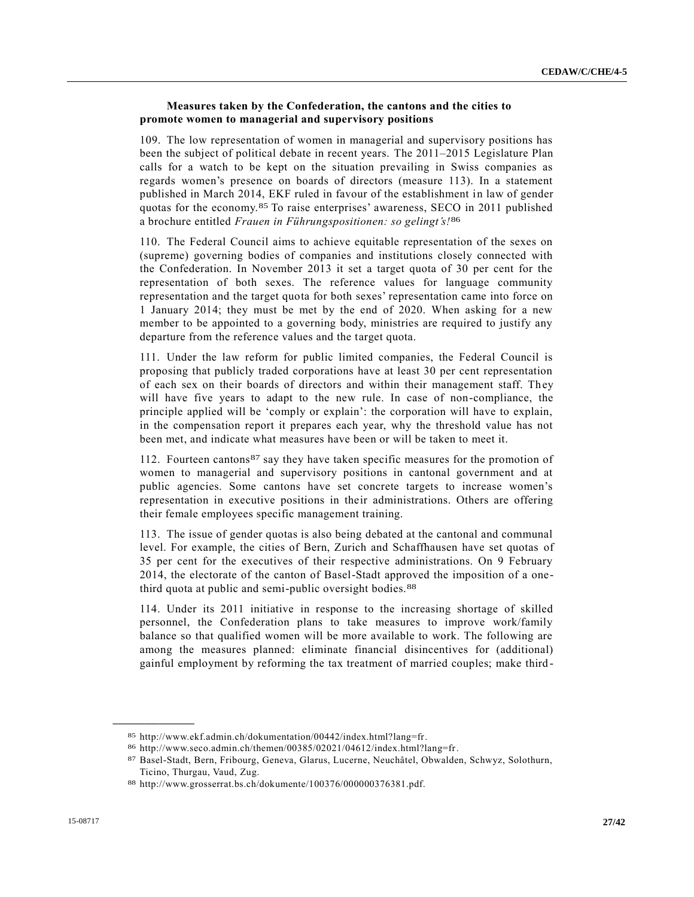# **Measures taken by the Confederation, the cantons and the cities to promote women to managerial and supervisory positions**

109. The low representation of women in managerial and supervisory positions has been the subject of political debate in recent years. The 2011–2015 Legislature Plan calls for a watch to be kept on the situation prevailing in Swiss companies as regards women's presence on boards of directors (measure 113). In a statement published in March 2014, EKF ruled in favour of the establishment in law of gender quotas for the economy.85 To raise enterprises' awareness, SECO in 2011 published a brochure entitled *Frauen in Führungspositionen: so gelingt's!*86

110. The Federal Council aims to achieve equitable representation of the sexes on (supreme) governing bodies of companies and institutions closely connected with the Confederation. In November 2013 it set a target quota of 30 per cent for the representation of both sexes. The reference values for language community representation and the target quota for both sexes' representation came into force on 1 January 2014; they must be met by the end of 2020. When asking for a new member to be appointed to a governing body, ministries are required to justify any departure from the reference values and the target quota.

111. Under the law reform for public limited companies, the Federal Council is proposing that publicly traded corporations have at least 30 per cent representation of each sex on their boards of directors and within their management staff. They will have five years to adapt to the new rule. In case of non-compliance, the principle applied will be 'comply or explain': the corporation will have to explain, in the compensation report it prepares each year, why the threshold value has not been met, and indicate what measures have been or will be taken to meet it.

112. Fourteen cantons87 say they have taken specific measures for the promotion of women to managerial and supervisory positions in cantonal government and at public agencies. Some cantons have set concrete targets to increase women's representation in executive positions in their administrations. Others are offering their female employees specific management training.

113. The issue of gender quotas is also being debated at the cantonal and communal level. For example, the cities of Bern, Zurich and Schaffhausen have set quotas of 35 per cent for the executives of their respective administrations. On 9 February 2014, the electorate of the canton of Basel-Stadt approved the imposition of a onethird quota at public and semi-public oversight bodies.88

114. Under its 2011 initiative in response to the increasing shortage of skilled personnel, the Confederation plans to take measures to improve work/family balance so that qualified women will be more available to work. The following are among the measures planned: eliminate financial disincentives for (additional) gainful employment by reforming the tax treatment of married couples; make third -

<sup>85</sup> http://www.ekf.admin.ch/dokumentation/00442/index.html?lang=fr.

<sup>86</sup> http://www.seco.admin.ch/themen/00385/02021/04612/index.html?lang=fr.

<sup>87</sup> Basel-Stadt, Bern, Fribourg, Geneva, Glarus, Lucerne, Neuchâtel, Obwalden, Schwyz, Solothurn, Ticino, Thurgau, Vaud, Zug.

<sup>88</sup> http://www.grosserrat.bs.ch/dokumente/100376/000000376381.pdf.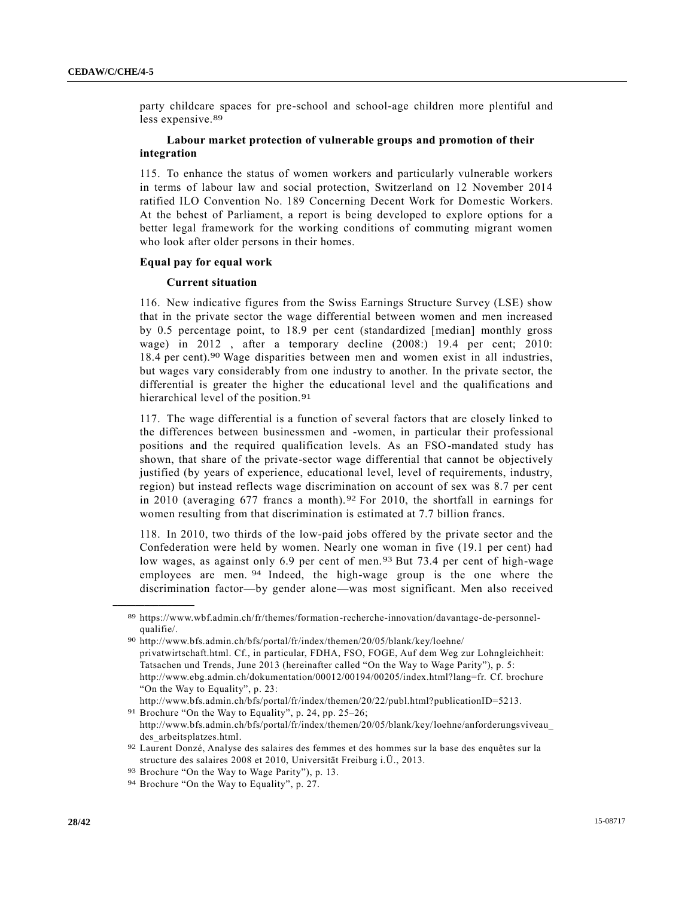party childcare spaces for pre-school and school-age children more plentiful and less expensive.89

# **Labour market protection of vulnerable groups and promotion of their integration**

115. To enhance the status of women workers and particularly vulnerable workers in terms of labour law and social protection, Switzerland on 12 November 2014 ratified ILO Convention No. 189 Concerning Decent Work for Domestic Workers. At the behest of Parliament, a report is being developed to explore options for a better legal framework for the working conditions of commuting migrant women who look after older persons in their homes.

#### **Equal pay for equal work**

#### **Current situation**

116. New indicative figures from the Swiss Earnings Structure Survey (LSE) show that in the private sector the wage differential between women and men increased by 0.5 percentage point, to 18.9 per cent (standardized [median] monthly gross wage) in 2012 , after a temporary decline (2008:) 19.4 per cent; 2010: 18.4 per cent).90 Wage disparities between men and women exist in all industries, but wages vary considerably from one industry to another. In the private sector, the differential is greater the higher the educational level and the qualifications and hierarchical level of the position.<sup>91</sup>

117. The wage differential is a function of several factors that are closely linked to the differences between businessmen and -women, in particular their professional positions and the required qualification levels. As an FSO-mandated study has shown, that share of the private-sector wage differential that cannot be objectively justified (by years of experience, educational level, level of requirements, industry, region) but instead reflects wage discrimination on account of sex was 8.7 per cent in 2010 (averaging 677 francs a month).  $92$  For 2010, the shortfall in earnings for women resulting from that discrimination is estimated at 7.7 billion francs.

118. In 2010, two thirds of the low-paid jobs offered by the private sector and the Confederation were held by women. Nearly one woman in five (19.1 per cent) had low wages, as against only 6.9 per cent of men.<sup>93</sup> But 73.4 per cent of high-wage employees are men. 94 Indeed, the high-wage group is the one where the discrimination factor—by gender alone—was most significant. Men also received

http://www.bfs.admin.ch/bfs/portal/fr/index/themen/20/22/publ.html?publicationID=5213.

<sup>89</sup> https://www.wbf.admin.ch/fr/themes/formation-recherche-innovation/davantage-de-personnelqualifie/.

<sup>90</sup> http://www.bfs.admin.ch/bfs/portal/fr/index/themen/20/05/blank/key/loehne/ privatwirtschaft.html. Cf., in particular, FDHA, FSO, FOGE, Auf dem Weg zur Lohngleichheit: Tatsachen und Trends, June 2013 (hereinafter called "On the Way to Wage Parity"), p. 5: http://www.ebg.admin.ch/dokumentation/00012/00194/00205/index.html?lang=fr. Cf. brochure "On the Way to Equality", p. 23:

<sup>91</sup> Brochure "On the Way to Equality", p. 24, pp. 25–26; http://www.bfs.admin.ch/bfs/portal/fr/index/themen/20/05/blank/key/loehne/anforderungsviveau\_ des arbeitsplatzes.html.

<sup>92</sup> Laurent Donzé, Analyse des salaires des femmes et des hommes sur la base des enquêtes sur la structure des salaires 2008 et 2010, Universität Freiburg i.Ü., 2013.

<sup>93</sup> Brochure "On the Way to Wage Parity"), p. 13.

<sup>94</sup> Brochure "On the Way to Equality", p. 27.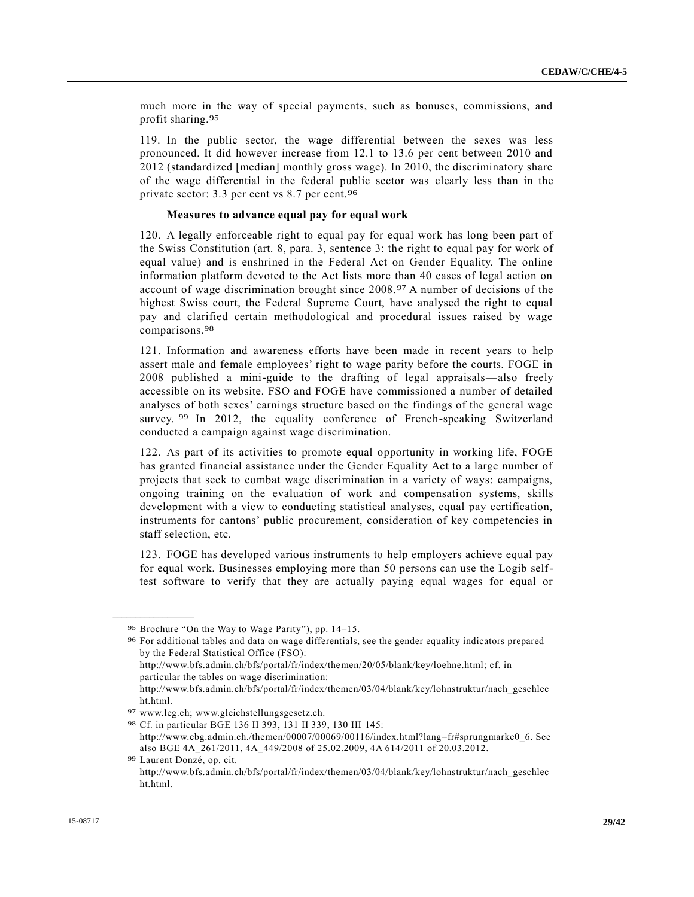much more in the way of special payments, such as bonuses, commissions, and profit sharing.95

119. In the public sector, the wage differential between the sexes was less pronounced. It did however increase from 12.1 to 13.6 per cent between 2010 and 2012 (standardized [median] monthly gross wage). In 2010, the discriminatory share of the wage differential in the federal public sector was clearly less than in the private sector: 3.3 per cent vs 8.7 per cent.96

#### **Measures to advance equal pay for equal work**

120. A legally enforceable right to equal pay for equal work has long been part of the Swiss Constitution (art. 8, para. 3, sentence 3: the right to equal pay for work of equal value) and is enshrined in the Federal Act on Gender Equality. The online information platform devoted to the Act lists more than 40 cases of legal action on account of wage discrimination brought since 2008. 97 A number of decisions of the highest Swiss court, the Federal Supreme Court, have analysed the right to equal pay and clarified certain methodological and procedural issues raised by wage comparisons.98

121. Information and awareness efforts have been made in recent years to help assert male and female employees' right to wage parity before the courts. FOGE in 2008 published a mini-guide to the drafting of legal appraisals—also freely accessible on its website. FSO and FOGE have commissioned a number of detailed analyses of both sexes' earnings structure based on the findings of the general wage survey. <sup>99</sup> In 2012, the equality conference of French-speaking Switzerland conducted a campaign against wage discrimination.

122. As part of its activities to promote equal opportunity in working life, FOGE has granted financial assistance under the Gender Equality Act to a large number of projects that seek to combat wage discrimination in a variety of ways: campaigns, ongoing training on the evaluation of work and compensation systems, skills development with a view to conducting statistical analyses, equal pay certification, instruments for cantons' public procurement, consideration of key competencies in staff selection, etc.

123. FOGE has developed various instruments to help employers achieve equal pay for equal work. Businesses employing more than 50 persons can use the Logib selftest software to verify that they are actually paying equal wages for equal or

**\_\_\_\_\_\_\_\_\_\_\_\_\_\_\_\_\_\_**

ht.html.

<sup>95</sup> Brochure "On the Way to Wage Parity"), pp. 14–15.

<sup>96</sup> For additional tables and data on wage differentials, see the gender equality indicators prepared by the Federal Statistical Office (FSO): http://www.bfs.admin.ch/bfs/portal/fr/index/themen/20/05/blank/key/loehne.html; cf. in particular the tables on wage discrimination: http://www.bfs.admin.ch/bfs/portal/fr/index/themen/03/04/blank/key/lohnstruktur/nach\_geschlec

<sup>97</sup> www.leg.ch; www.gleichstellungsgesetz.ch.

<sup>98</sup> Cf. in particular BGE 136 II 393, 131 II 339, 130 III 145: http://www.ebg.admin.ch./themen/00007/00069/00116/index.html?lang=fr#sprungmarke0\_6. See also BGE 4A\_261/2011, 4A\_449/2008 of 25.02.2009, 4A 614/2011 of 20.03.2012.

<sup>99</sup> Laurent Donzé, op. cit.

http://www.bfs.admin.ch/bfs/portal/fr/index/themen/03/04/blank/key/lohnstruktur/nach\_geschlec ht.html.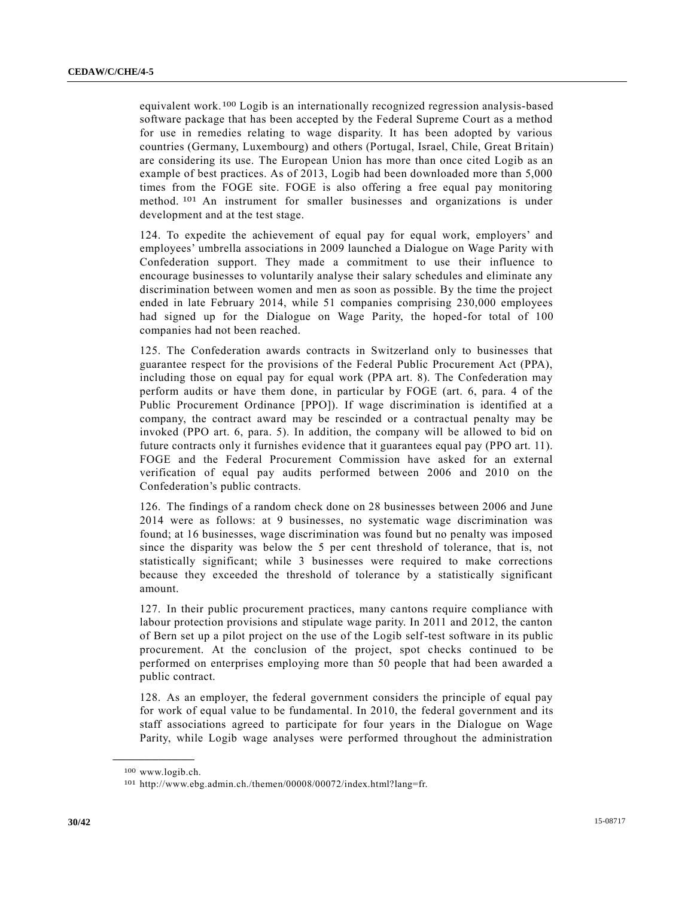equivalent work.100 Logib is an internationally recognized regression analysis-based software package that has been accepted by the Federal Supreme Court as a method for use in remedies relating to wage disparity. It has been adopted by various countries (Germany, Luxembourg) and others (Portugal, Israel, Chile, Great Britain) are considering its use. The European Union has more than once cited Logib as an example of best practices. As of 2013, Logib had been downloaded more than 5,000 times from the FOGE site. FOGE is also offering a free equal pay monitoring method. 101 An instrument for smaller businesses and organizations is under development and at the test stage.

124. To expedite the achievement of equal pay for equal work, employers' and employees' umbrella associations in 2009 launched a Dialogue on Wage Parity with Confederation support. They made a commitment to use their influence to encourage businesses to voluntarily analyse their salary schedules and eliminate any discrimination between women and men as soon as possible. By the time the project ended in late February 2014, while 51 companies comprising 230,000 employees had signed up for the Dialogue on Wage Parity, the hoped-for total of 100 companies had not been reached.

125. The Confederation awards contracts in Switzerland only to businesses that guarantee respect for the provisions of the Federal Public Procurement Act (PPA), including those on equal pay for equal work (PPA art. 8). The Confederation may perform audits or have them done, in particular by FOGE (art. 6, para. 4 of the Public Procurement Ordinance [PPO]). If wage discrimination is identified at a company, the contract award may be rescinded or a contractual penalty may be invoked (PPO art. 6, para. 5). In addition, the company will be allowed to bid on future contracts only it furnishes evidence that it guarantees equal pay (PPO art. 11). FOGE and the Federal Procurement Commission have asked for an external verification of equal pay audits performed between 2006 and 2010 on the Confederation's public contracts.

126. The findings of a random check done on 28 businesses between 2006 and June 2014 were as follows: at 9 businesses, no systematic wage discrimination was found; at 16 businesses, wage discrimination was found but no penalty was imposed since the disparity was below the 5 per cent threshold of tolerance, that is, not statistically significant; while 3 businesses were required to make corrections because they exceeded the threshold of tolerance by a statistically significant amount.

127. In their public procurement practices, many cantons require compliance with labour protection provisions and stipulate wage parity. In 2011 and 2012, the canton of Bern set up a pilot project on the use of the Logib self-test software in its public procurement. At the conclusion of the project, spot checks continued to be performed on enterprises employing more than 50 people that had been awarded a public contract.

128. As an employer, the federal government considers the principle of equal pay for work of equal value to be fundamental. In 2010, the federal government and its staff associations agreed to participate for four years in the Dialogue on Wage Parity, while Logib wage analyses were performed throughout the administration

<sup>100</sup> www.logib.ch.

<sup>101</sup> http://www.ebg.admin.ch./themen/00008/00072/index.html?lang=fr.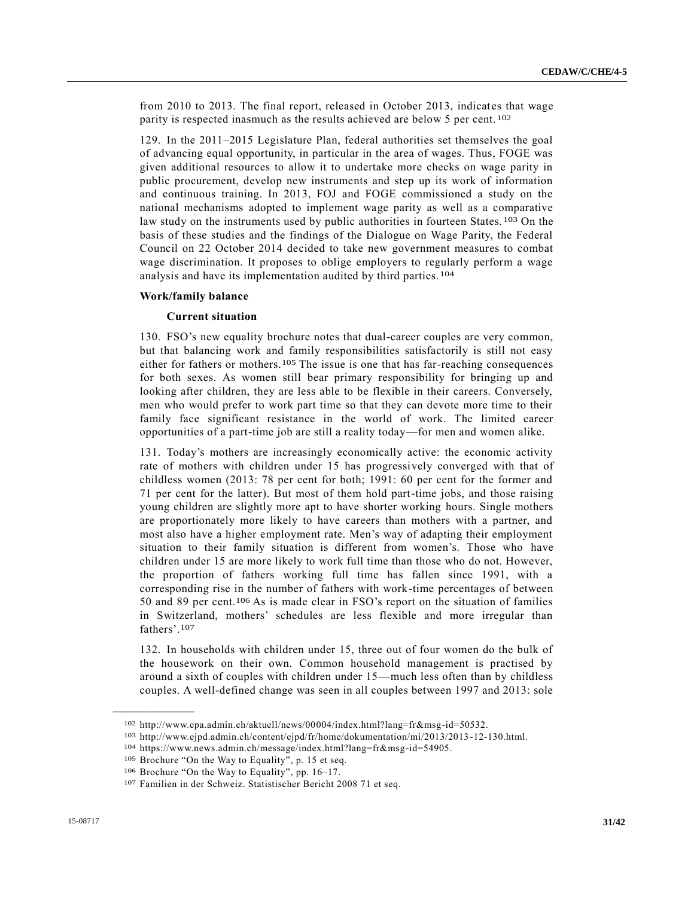from 2010 to 2013. The final report, released in October 2013, indicates that wage parity is respected inasmuch as the results achieved are below 5 per cent. 102

129. In the 2011–2015 Legislature Plan, federal authorities set themselves the goal of advancing equal opportunity, in particular in the area of wages. Thus, FOGE was given additional resources to allow it to undertake more checks on wage parity in public procurement, develop new instruments and step up its work of information and continuous training. In 2013, FOJ and FOGE commissioned a study on the national mechanisms adopted to implement wage parity as well as a comparative law study on the instruments used by public authorities in fourteen States.<sup>103</sup> On the basis of these studies and the findings of the Dialogue on Wage Parity, the Federal Council on 22 October 2014 decided to take new government measures to combat wage discrimination. It proposes to oblige employers to regularly perform a wage analysis and have its implementation audited by third parties. 104

#### **Work/family balance**

#### **Current situation**

130. FSO's new equality brochure notes that dual-career couples are very common, but that balancing work and family responsibilities satisfactorily is still not easy either for fathers or mothers.105 The issue is one that has far-reaching consequences for both sexes. As women still bear primary responsibility for bringing up and looking after children, they are less able to be flexible in their careers. Conversely, men who would prefer to work part time so that they can devote more time to their family face significant resistance in the world of work. The limited career opportunities of a part-time job are still a reality today—for men and women alike.

131. Today's mothers are increasingly economically active: the economic activity rate of mothers with children under 15 has progressively converged with that of childless women (2013: 78 per cent for both; 1991: 60 per cent for the former and 71 per cent for the latter). But most of them hold part-time jobs, and those raising young children are slightly more apt to have shorter working hours. Single mothers are proportionately more likely to have careers than mothers with a partner, and most also have a higher employment rate. Men's way of adapting their employment situation to their family situation is different from women's. Those who have children under 15 are more likely to work full time than those who do not. However, the proportion of fathers working full time has fallen since 1991, with a corresponding rise in the number of fathers with work-time percentages of between 50 and 89 per cent.106 As is made clear in FSO's report on the situation of families in Switzerland, mothers' schedules are less flexible and more irregular than fathers'.107

132. In households with children under 15, three out of four women do the bulk of the housework on their own. Common household management is practised by around a sixth of couples with children under 15—much less often than by childless couples. A well-defined change was seen in all couples between 1997 and 2013: sole

<sup>102</sup> http://www.epa.admin.ch/aktuell/news/00004/index.html?lang=fr&msg-id=50532.

<sup>103</sup> http://www.ejpd.admin.ch/content/ejpd/fr/home/dokumentation/mi/2013/2013 -12-130.html.

<sup>104</sup> https://www.news.admin.ch/message/index.html?lang=fr&msg-id=54905.

<sup>105</sup> Brochure "On the Way to Equality", p. 15 et seq.

<sup>106</sup> Brochure "On the Way to Equality", pp. 16–17.

<sup>107</sup> Familien in der Schweiz. Statistischer Bericht 2008 71 et seq.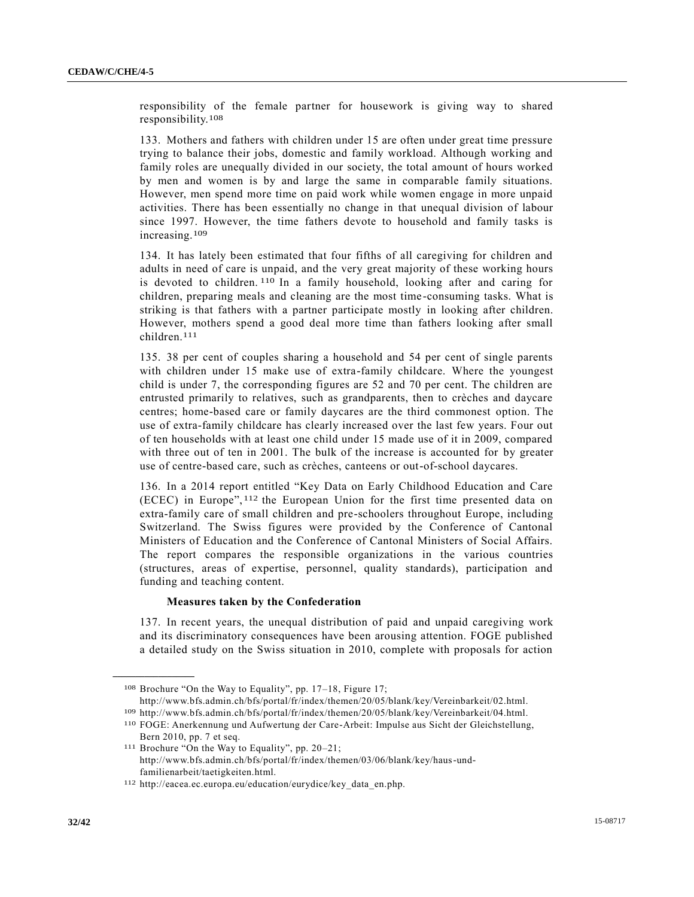responsibility of the female partner for housework is giving way to shared responsibility.108

133. Mothers and fathers with children under 15 are often under great time pressure trying to balance their jobs, domestic and family workload. Although working and family roles are unequally divided in our society, the total amount of hours worked by men and women is by and large the same in comparable family situations. However, men spend more time on paid work while women engage in more unpaid activities. There has been essentially no change in that unequal division of labour since 1997. However, the time fathers devote to household and family tasks is increasing.109

134. It has lately been estimated that four fifths of all caregiving for children and adults in need of care is unpaid, and the very great majority of these working hours is devoted to children. 110 In a family household, looking after and caring for children, preparing meals and cleaning are the most time -consuming tasks. What is striking is that fathers with a partner participate mostly in looking after children. However, mothers spend a good deal more time than fathers looking after small children.111

135. 38 per cent of couples sharing a household and 54 per cent of single parents with children under 15 make use of extra-family childcare. Where the youngest child is under 7, the corresponding figures are 52 and 70 per cent. The children are entrusted primarily to relatives, such as grandparents, then to crèches and daycare centres; home-based care or family daycares are the third commonest option. The use of extra-family childcare has clearly increased over the last few years. Four out of ten households with at least one child under 15 made use of it in 2009, compared with three out of ten in 2001. The bulk of the increase is accounted for by greater use of centre-based care, such as crèches, canteens or out-of-school daycares.

136. In a 2014 report entitled "Key Data on Early Childhood Education and Care (ECEC) in Europe", 112 the European Union for the first time presented data on extra-family care of small children and pre-schoolers throughout Europe, including Switzerland. The Swiss figures were provided by the Conference of Cantonal Ministers of Education and the Conference of Cantonal Ministers of Social Affairs. The report compares the responsible organizations in the various countries (structures, areas of expertise, personnel, quality standards), participation and funding and teaching content.

#### **Measures taken by the Confederation**

137. In recent years, the unequal distribution of paid and unpaid caregiving work and its discriminatory consequences have been arousing attention. FOGE published a detailed study on the Swiss situation in 2010, complete with proposals for action

<sup>108</sup> Brochure "On the Way to Equality", pp. 17–18, Figure 17;

http://www.bfs.admin.ch/bfs/portal/fr/index/themen/20/05/blank/key/Vereinbarkeit/02.html.

<sup>109</sup> http://www.bfs.admin.ch/bfs/portal/fr/index/themen/20/05/blank/key/Vereinbarkeit/04.html.

<sup>110</sup> FOGE: Anerkennung und Aufwertung der Care-Arbeit: Impulse aus Sicht der Gleichstellung, Bern 2010, pp. 7 et seq.

<sup>111</sup> Brochure "On the Way to Equality", pp. 20–21; http://www.bfs.admin.ch/bfs/portal/fr/index/themen/03/06/blank/key/haus-undfamilienarbeit/taetigkeiten.html.

<sup>112</sup> http://eacea.ec.europa.eu/education/eurydice/key\_data\_en.php.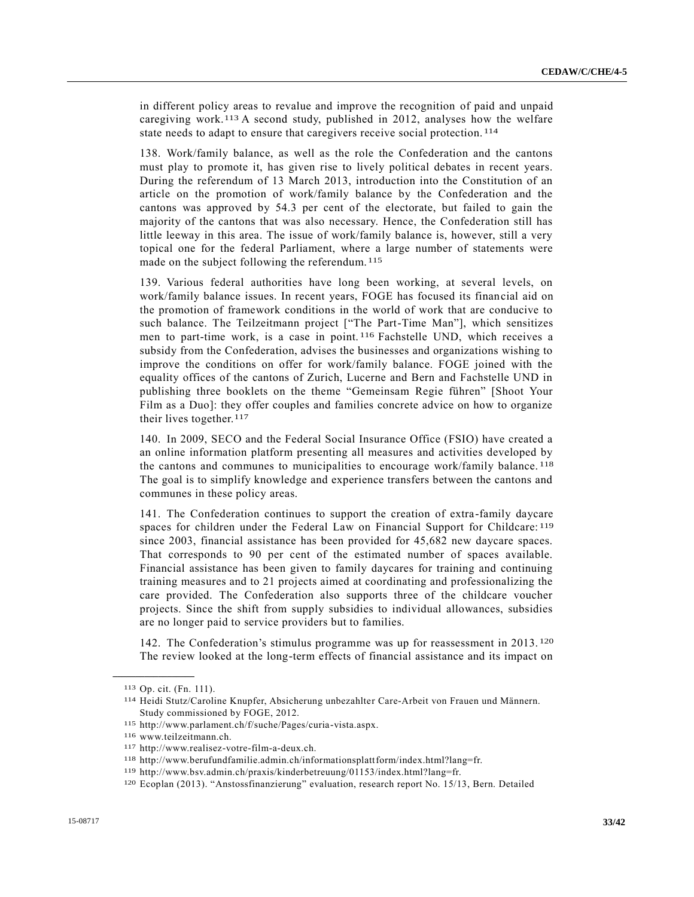in different policy areas to revalue and improve the recognition of paid and unpaid caregiving work.113 A second study, published in 2012, analyses how the welfare state needs to adapt to ensure that caregivers receive social protection. 114

138. Work/family balance, as well as the role the Confederation and the cantons must play to promote it, has given rise to lively political debates in recent years. During the referendum of 13 March 2013, introduction into the Constitution of an article on the promotion of work/family balance by the Confederation and the cantons was approved by 54.3 per cent of the electorate, but failed to gain the majority of the cantons that was also necessary. Hence, the Confederation still has little leeway in this area. The issue of work/family balance is, however, still a very topical one for the federal Parliament, where a large number of statements were made on the subject following the referendum. 115

139. Various federal authorities have long been working, at several levels, on work/family balance issues. In recent years, FOGE has focused its financial aid on the promotion of framework conditions in the world of work that are conducive to such balance. The Teilzeitmann project ["The Part-Time Man"], which sensitizes men to part-time work, is a case in point. 116 Fachstelle UND, which receives a subsidy from the Confederation, advises the businesses and organizations wishing to improve the conditions on offer for work/family balance. FOGE joined with the equality offices of the cantons of Zurich, Lucerne and Bern and Fachstelle UND in publishing three booklets on the theme "Gemeinsam Regie führen" [Shoot Your Film as a Duo]: they offer couples and families concrete advice on how to organize their lives together.<sup>117</sup>

140. In 2009, SECO and the Federal Social Insurance Office (FSIO) have created a an online information platform presenting all measures and activities developed by the cantons and communes to municipalities to encourage work/family balance. 118 The goal is to simplify knowledge and experience transfers between the cantons and communes in these policy areas.

141. The Confederation continues to support the creation of extra-family daycare spaces for children under the Federal Law on Financial Support for Childcare: 119 since 2003, financial assistance has been provided for 45,682 new daycare spaces. That corresponds to 90 per cent of the estimated number of spaces available. Financial assistance has been given to family daycares for training and continuing training measures and to 21 projects aimed at coordinating and professionalizing the care provided. The Confederation also supports three of the childcare voucher projects. Since the shift from supply subsidies to individual allowances, subsidies are no longer paid to service providers but to families.

142. The Confederation's stimulus programme was up for reassessment in 2013. 120 The review looked at the long-term effects of financial assistance and its impact on

<sup>113</sup> Op. cit. (Fn. 111).

<sup>114</sup> Heidi Stutz/Caroline Knupfer, Absicherung unbezahlter Care-Arbeit von Frauen und Männern. Study commissioned by FOGE, 2012.

<sup>115</sup> http://www.parlament.ch/f/suche/Pages/curia-vista.aspx.

<sup>116</sup> www.teilzeitmann.ch.

<sup>117</sup> http://www.realisez-votre-film-a-deux.ch.

<sup>118</sup> http://www.berufundfamilie.admin.ch/informationsplattform/index.html?lang=fr.

<sup>119</sup> http://www.bsv.admin.ch/praxis/kinderbetreuung/01153/index.html?lang=fr.

<sup>120</sup> Ecoplan (2013). "Anstossfinanzierung" evaluation, research report No. 15/13, Bern. Detailed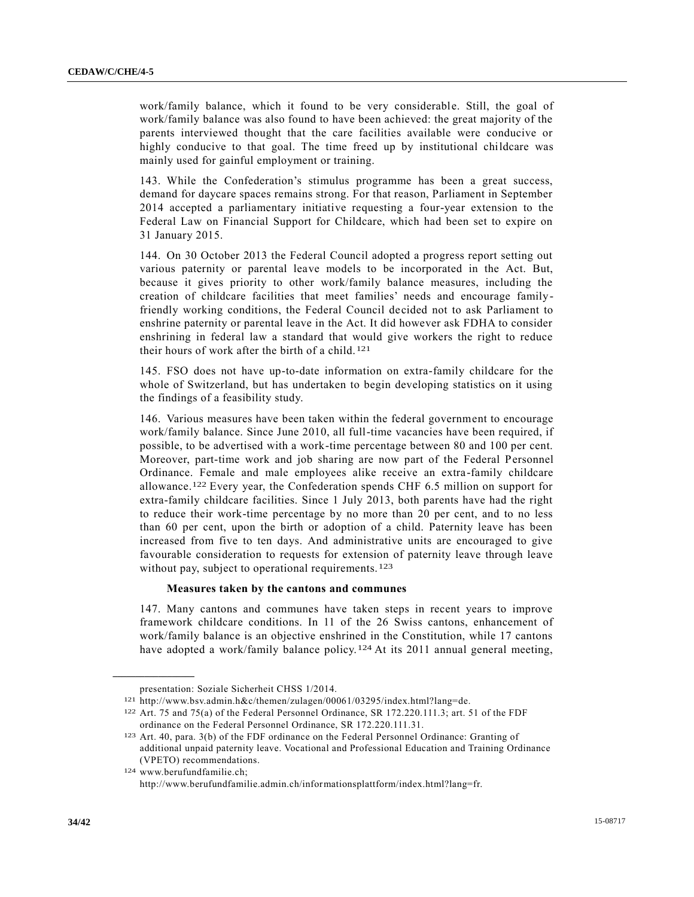work/family balance, which it found to be very considerable. Still, the goal of work/family balance was also found to have been achieved: the great majority of the parents interviewed thought that the care facilities available were conducive or highly conducive to that goal. The time freed up by institutional childcare was mainly used for gainful employment or training.

143. While the Confederation's stimulus programme has been a great success, demand for daycare spaces remains strong. For that reason, Parliament in September 2014 accepted a parliamentary initiative requesting a four-year extension to the Federal Law on Financial Support for Childcare, which had been set to expire on 31 January 2015.

144. On 30 October 2013 the Federal Council adopted a progress report setting out various paternity or parental leave models to be incorporated in the Act. But, because it gives priority to other work/family balance measures, including the creation of childcare facilities that meet families' needs and encourage familyfriendly working conditions, the Federal Council decided not to ask Parliament to enshrine paternity or parental leave in the Act. It did however ask FDHA to consider enshrining in federal law a standard that would give workers the right to reduce their hours of work after the birth of a child. 121

145. FSO does not have up-to-date information on extra-family childcare for the whole of Switzerland, but has undertaken to begin developing statistics on it using the findings of a feasibility study.

146. Various measures have been taken within the federal government to encourage work/family balance. Since June 2010, all full-time vacancies have been required, if possible, to be advertised with a work-time percentage between 80 and 100 per cent. Moreover, part-time work and job sharing are now part of the Federal Personnel Ordinance. Female and male employees alike receive an extra-family childcare allowance.122 Every year, the Confederation spends CHF 6.5 million on support for extra-family childcare facilities. Since 1 July 2013, both parents have had the right to reduce their work-time percentage by no more than 20 per cent, and to no less than 60 per cent, upon the birth or adoption of a child. Paternity leave has been increased from five to ten days. And administrative units are encouraged to give favourable consideration to requests for extension of paternity leave through leave without pay, subject to operational requirements. <sup>123</sup>

#### **Measures taken by the cantons and communes**

147. Many cantons and communes have taken steps in recent years to improve framework childcare conditions. In 11 of the 26 Swiss cantons, enhancement of work/family balance is an objective enshrined in the Constitution, while 17 cantons have adopted a work/family balance policy.<sup>124</sup> At its 2011 annual general meeting,

**\_\_\_\_\_\_\_\_\_\_\_\_\_\_\_\_\_\_**

124 www.berufundfamilie.ch; http://www.berufundfamilie.admin.ch/informationsplattform/index.html?lang=fr.

presentation: Soziale Sicherheit CHSS 1/2014.

<sup>121</sup> http://www.bsv.admin.h&c/themen/zulagen/00061/03295/index.html?lang=de.

<sup>122</sup> Art. 75 and 75(a) of the Federal Personnel Ordinance, SR 172.220.111.3; art. 51 of the FDF ordinance on the Federal Personnel Ordinance, SR 172.220.111.31.

<sup>123</sup> Art. 40, para. 3(b) of the FDF ordinance on the Federal Personnel Ordinance: Granting of additional unpaid paternity leave. Vocational and Professional Education and Training Ordinance (VPETO) recommendations.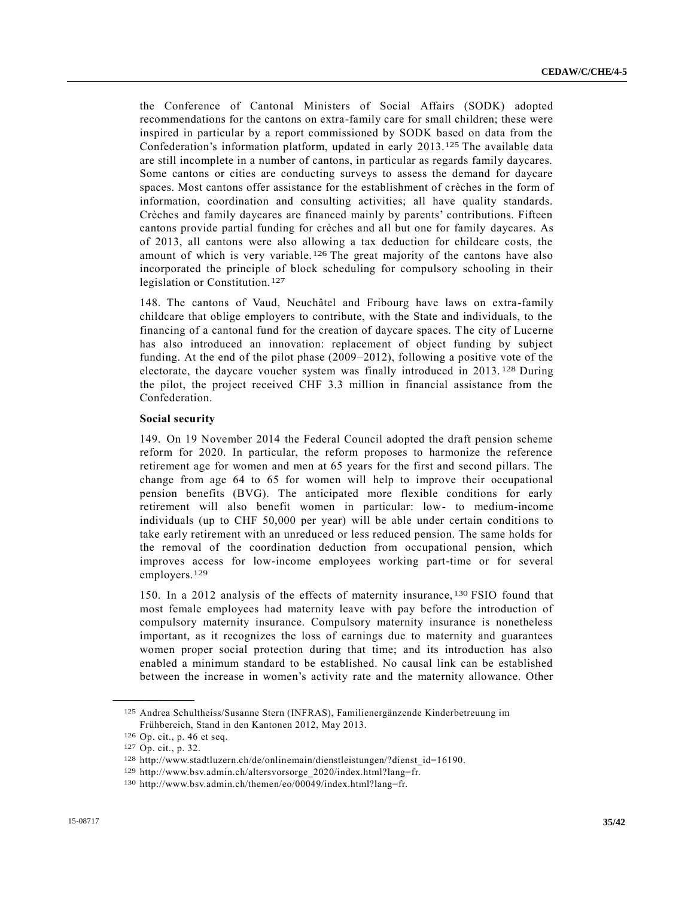the Conference of Cantonal Ministers of Social Affairs (SODK) adopted recommendations for the cantons on extra-family care for small children; these were inspired in particular by a report commissioned by SODK based on data from the Confederation's information platform, updated in early 2013.125 The available data are still incomplete in a number of cantons, in particular as regards family daycares. Some cantons or cities are conducting surveys to assess the demand for daycare spaces. Most cantons offer assistance for the establishment of crèches in the form of information, coordination and consulting activities; all have quality standards. Crèches and family daycares are financed mainly by parents' contributions. Fifteen cantons provide partial funding for crèches and all but one for family daycares. As of 2013, all cantons were also allowing a tax deduction for childcare costs, the amount of which is very variable.<sup>126</sup> The great majority of the cantons have also incorporated the principle of block scheduling for compulsory schooling in their legislation or Constitution.127

148. The cantons of Vaud, Neuchâtel and Fribourg have laws on extra -family childcare that oblige employers to contribute, with the State and individuals, to the financing of a cantonal fund for the creation of daycare spaces. The city of Lucerne has also introduced an innovation: replacement of object funding by subject funding. At the end of the pilot phase (2009–2012), following a positive vote of the electorate, the daycare voucher system was finally introduced in 2013. 128 During the pilot, the project received CHF 3.3 million in financial assistance from the Confederation.

#### **Social security**

149. On 19 November 2014 the Federal Council adopted the draft pension scheme reform for 2020. In particular, the reform proposes to harmonize the reference retirement age for women and men at 65 years for the first and second pillars. The change from age 64 to 65 for women will help to improve their occupational pension benefits (BVG). The anticipated more flexible conditions for early retirement will also benefit women in particular: low- to medium-income individuals (up to CHF 50,000 per year) will be able under certain conditions to take early retirement with an unreduced or less reduced pension. The same holds for the removal of the coordination deduction from occupational pension, which improves access for low-income employees working part-time or for several employers.129

150. In a 2012 analysis of the effects of maternity insurance, 130 FSIO found that most female employees had maternity leave with pay before the introduction of compulsory maternity insurance. Compulsory maternity insurance is nonetheless important, as it recognizes the loss of earnings due to maternity and guarantees women proper social protection during that time; and its introduction has also enabled a minimum standard to be established. No causal link can be established between the increase in women's activity rate and the maternity allowance. Other

<sup>125</sup> Andrea Schultheiss/Susanne Stern (INFRAS), Familienergänzende Kinderbetreuung im Frühbereich, Stand in den Kantonen 2012, May 2013.

<sup>126</sup> Op. cit., p. 46 et seq.

<sup>127</sup> Op. cit., p. 32.

<sup>128</sup> http://www.stadtluzern.ch/de/onlinemain/dienstleistungen/?dienst\_id=16190.

<sup>129</sup> http://www.bsv.admin.ch/altersvorsorge\_2020/index.html?lang=fr.

<sup>130</sup> http://www.bsv.admin.ch/themen/eo/00049/index.html?lang=fr.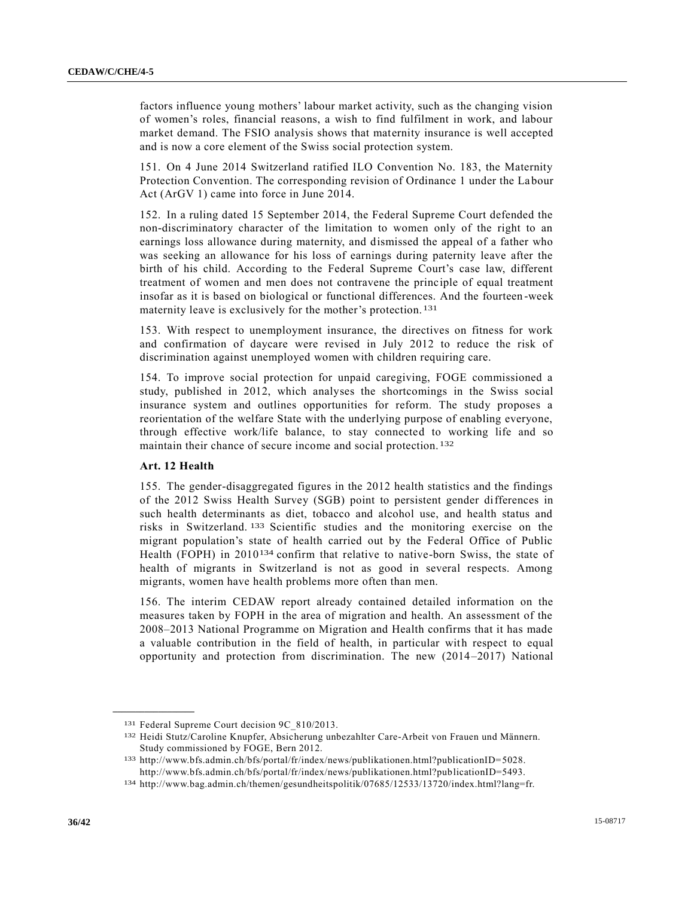factors influence young mothers' labour market activity, such as the changing vision of women's roles, financial reasons, a wish to find fulfilment in work, and labour market demand. The FSIO analysis shows that maternity insurance is well accepted and is now a core element of the Swiss social protection system.

151. On 4 June 2014 Switzerland ratified ILO Convention No. 183, the Maternity Protection Convention. The corresponding revision of Ordinance 1 under the La bour Act (ArGV 1) came into force in June 2014.

152. In a ruling dated 15 September 2014, the Federal Supreme Court defended the non-discriminatory character of the limitation to women only of the right to an earnings loss allowance during maternity, and dismissed the appeal of a father who was seeking an allowance for his loss of earnings during paternity leave after the birth of his child. According to the Federal Supreme Court's case law, different treatment of women and men does not contravene the principle of equal treatment insofar as it is based on biological or functional differences. And the fourteen -week maternity leave is exclusively for the mother's protection. 131

153. With respect to unemployment insurance, the directives on fitness for work and confirmation of daycare were revised in July 2012 to reduce the risk of discrimination against unemployed women with children requiring care.

154. To improve social protection for unpaid caregiving, FOGE commissioned a study, published in 2012, which analyses the shortcomings in the Swiss social insurance system and outlines opportunities for reform. The study proposes a reorientation of the welfare State with the underlying purpose of enabling everyone, through effective work/life balance, to stay connected to working life and so maintain their chance of secure income and social protection. 132

#### **Art. 12 Health**

**\_\_\_\_\_\_\_\_\_\_\_\_\_\_\_\_\_\_**

155. The gender-disaggregated figures in the 2012 health statistics and the findings of the 2012 Swiss Health Survey (SGB) point to persistent gender differences in such health determinants as diet, tobacco and alcohol use, and health status and risks in Switzerland. 133 Scientific studies and the monitoring exercise on the migrant population's state of health carried out by the Federal Office of Public Health (FOPH) in 2010<sup>134</sup> confirm that relative to native-born Swiss, the state of health of migrants in Switzerland is not as good in several respects. Among migrants, women have health problems more often than men.

156. The interim CEDAW report already contained detailed information on the measures taken by FOPH in the area of migration and health. An assessment of the 2008–2013 National Programme on Migration and Health confirms that it has made a valuable contribution in the field of health, in particular with respect to equal opportunity and protection from discrimination. The new (2014–2017) National

<sup>131</sup> Federal Supreme Court decision 9C\_810/2013.

<sup>132</sup> Heidi Stutz/Caroline Knupfer, Absicherung unbezahlter Care-Arbeit von Frauen und Männern. Study commissioned by FOGE, Bern 2012.

<sup>133</sup> http://www.bfs.admin.ch/bfs/portal/fr/index/news/publikationen.html?publicationID=5028. http://www.bfs.admin.ch/bfs/portal/fr/index/news/publikationen.html?publicationID=5493.

<sup>134</sup> http://www.bag.admin.ch/themen/gesundheitspolitik/07685/12533/13720/index.html?lang=fr.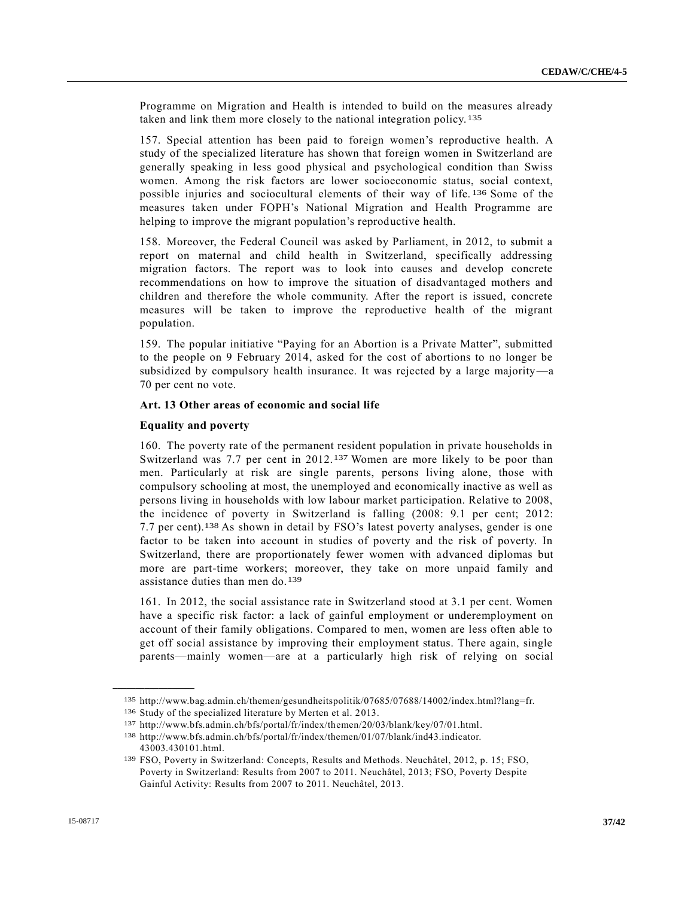Programme on Migration and Health is intended to build on the measures already taken and link them more closely to the national integration policy. 135

157. Special attention has been paid to foreign women's reproductive health. A study of the specialized literature has shown that foreign women in Switzerland are generally speaking in less good physical and psychological condition than Swiss women. Among the risk factors are lower socioeconomic status, social context, possible injuries and sociocultural elements of their way of life. 136 Some of the measures taken under FOPH's National Migration and Health Programme are helping to improve the migrant population's reproductive health.

158. Moreover, the Federal Council was asked by Parliament, in 2012, to submit a report on maternal and child health in Switzerland, specifically addressing migration factors. The report was to look into causes and develop concrete recommendations on how to improve the situation of disadvantaged mothers and children and therefore the whole community. After the report is issued, concrete measures will be taken to improve the reproductive health of the migrant population.

159. The popular initiative "Paying for an Abortion is a Private Matter", submitted to the people on 9 February 2014, asked for the cost of abortions to no longer be subsidized by compulsory health insurance. It was rejected by a large majority—a 70 per cent no vote.

#### **Art. 13 Other areas of economic and social life**

#### **Equality and poverty**

**\_\_\_\_\_\_\_\_\_\_\_\_\_\_\_\_\_\_**

160. The poverty rate of the permanent resident population in private households in Switzerland was 7.7 per cent in 2012.137 Women are more likely to be poor than men. Particularly at risk are single parents, persons living alone, those with compulsory schooling at most, the unemployed and economically inactive as well as persons living in households with low labour market participation. Relative to 2008, the incidence of poverty in Switzerland is falling (2008: 9.1 per cent; 2012: 7.7 per cent).138 As shown in detail by FSO's latest poverty analyses, gender is one factor to be taken into account in studies of poverty and the risk of poverty. In Switzerland, there are proportionately fewer women with advanced diplomas but more are part-time workers; moreover, they take on more unpaid family and assistance duties than men do.139

161. In 2012, the social assistance rate in Switzerland stood at 3.1 per cent. Women have a specific risk factor: a lack of gainful employment or underemployment on account of their family obligations. Compared to men, women are less often able to get off social assistance by improving their employment status. There again, single parents—mainly women—are at a particularly high risk of relying on social

<sup>135</sup> http://www.bag.admin.ch/themen/gesundheitspolitik/07685/07688/14002/index.html?lang=fr.

<sup>136</sup> Study of the specialized literature by Merten et al. 2013.

<sup>137</sup> http://www.bfs.admin.ch/bfs/portal/fr/index/themen/20/03/blank/key/07/01.html.

<sup>138</sup> http://www.bfs.admin.ch/bfs/portal/fr/index/themen/01/07/blank/ind43.indicator. 43003.430101.html.

<sup>139</sup> FSO, Poverty in Switzerland: Concepts, Results and Methods. Neuchâtel, 2012, p. 15; FSO, Poverty in Switzerland: Results from 2007 to 2011. Neuchâtel, 2013; FSO, Poverty Despite Gainful Activity: Results from 2007 to 2011. Neuchâtel, 2013.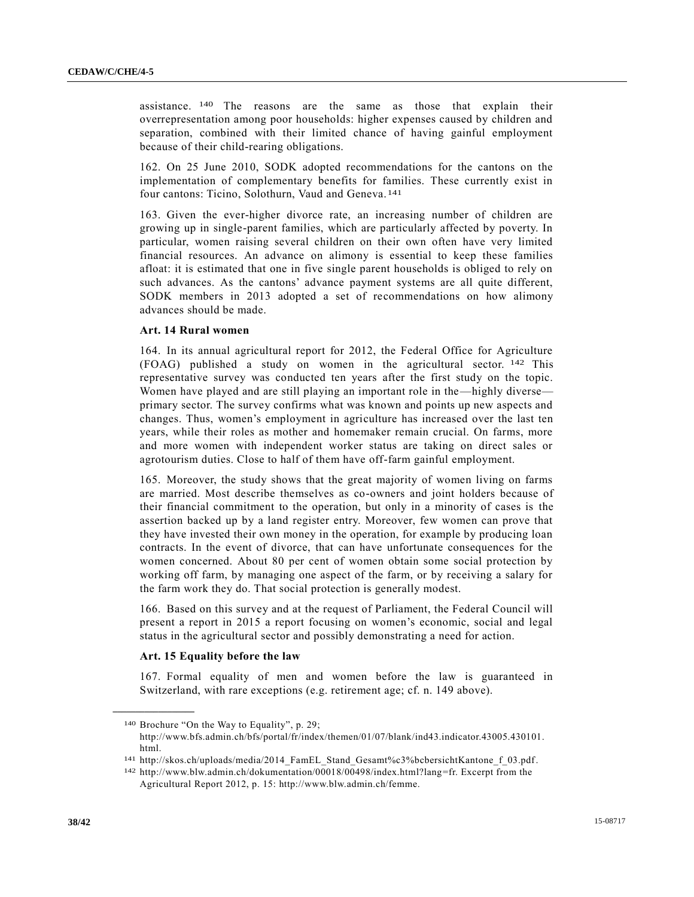assistance. 140 The reasons are the same as those that explain their overrepresentation among poor households: higher expenses caused by children and separation, combined with their limited chance of having gainful employment because of their child-rearing obligations.

162. On 25 June 2010, SODK adopted recommendations for the cantons on the implementation of complementary benefits for families. These currently exist in four cantons: Ticino, Solothurn, Vaud and Geneva. 141

163. Given the ever-higher divorce rate, an increasing number of children are growing up in single-parent families, which are particularly affected by poverty. In particular, women raising several children on their own often have very limited financial resources. An advance on alimony is essential to keep these families afloat: it is estimated that one in five single parent households is obliged to rely on such advances. As the cantons' advance payment systems are all quite different, SODK members in 2013 adopted a set of recommendations on how alimony advances should be made.

# **Art. 14 Rural women**

164. In its annual agricultural report for 2012, the Federal Office for Agriculture (FOAG) published a study on women in the agricultural sector. 142 This representative survey was conducted ten years after the first study on the topic. Women have played and are still playing an important role in the—highly diverse primary sector. The survey confirms what was known and points up new aspects and changes. Thus, women's employment in agriculture has increased over the last ten years, while their roles as mother and homemaker remain crucial. On farms, more and more women with independent worker status are taking on direct sales or agrotourism duties. Close to half of them have off-farm gainful employment.

165. Moreover, the study shows that the great majority of women living on farms are married. Most describe themselves as co-owners and joint holders because of their financial commitment to the operation, but only in a minority of cases is the assertion backed up by a land register entry. Moreover, few women can prove that they have invested their own money in the operation, for example by producing loan contracts. In the event of divorce, that can have unfortunate consequences for the women concerned. About 80 per cent of women obtain some social protection by working off farm, by managing one aspect of the farm, or by receiving a salary for the farm work they do. That social protection is generally modest.

166. Based on this survey and at the request of Parliament, the Federal Council will present a report in 2015 a report focusing on women's economic, social and legal status in the agricultural sector and possibly demonstrating a need for action.

#### **Art. 15 Equality before the law**

**\_\_\_\_\_\_\_\_\_\_\_\_\_\_\_\_\_\_**

167. Formal equality of men and women before the law is guaranteed in Switzerland, with rare exceptions (e.g. retirement age; cf. n. 149 above).

<sup>140</sup> Brochure "On the Way to Equality", p. 29; http://www.bfs.admin.ch/bfs/portal/fr/index/themen/01/07/blank/ind43.indicator.43005.430101. html.

<sup>141</sup> http://skos.ch/uploads/media/2014\_FamEL\_Stand\_Gesamt%c3%bcbersichtKantone\_f\_03.pdf.

<sup>142</sup> http://www.blw.admin.ch/dokumentation/00018/00498/index.html?lang=fr. Excerpt from the Agricultural Report 2012, p. 15: http://www.blw.admin.ch/femme.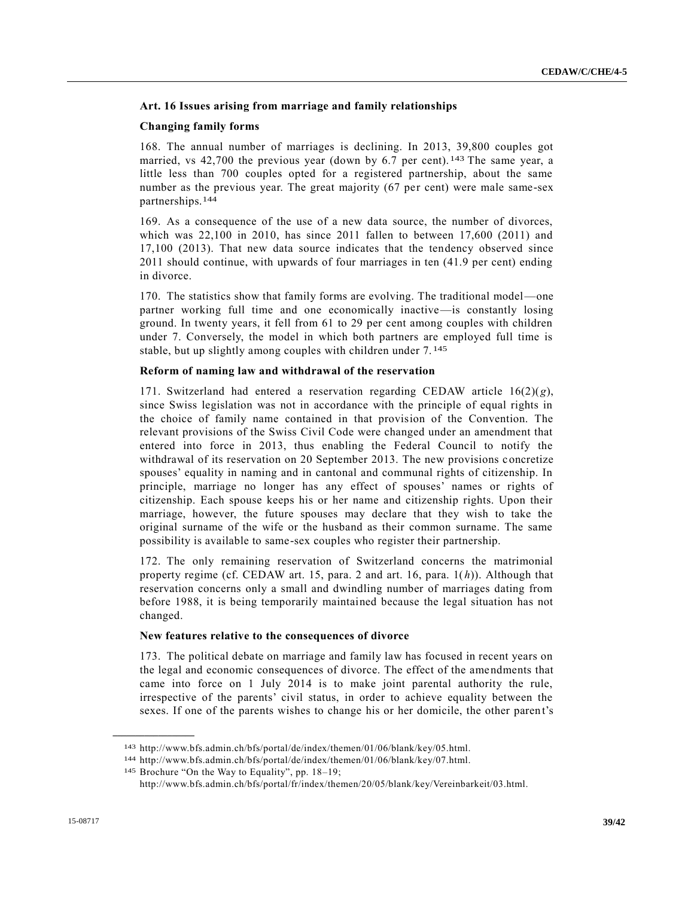#### **Art. 16 Issues arising from marriage and family relationships**

#### **Changing family forms**

168. The annual number of marriages is declining. In 2013, 39,800 couples got married, vs 42,700 the previous year (down by 6.7 per cent). 143 The same year, a little less than 700 couples opted for a registered partnership, about the same number as the previous year. The great majority (67 per cent) were male same-sex partnerships.144

169. As a consequence of the use of a new data source, the number of divorces, which was 22,100 in 2010, has since 2011 fallen to between 17,600 (2011) and 17,100 (2013). That new data source indicates that the tendency observed since 2011 should continue, with upwards of four marriages in ten (41.9 per cent) ending in divorce.

170. The statistics show that family forms are evolving. The traditional model—one partner working full time and one economically inactive—is constantly losing ground. In twenty years, it fell from 61 to 29 per cent among couples with children under 7. Conversely, the model in which both partners are employed full time is stable, but up slightly among couples with children under 7. 145

#### **Reform of naming law and withdrawal of the reservation**

171. Switzerland had entered a reservation regarding CEDAW article 16(2)(*g*), since Swiss legislation was not in accordance with the principle of equal rights in the choice of family name contained in that provision of the Convention. The relevant provisions of the Swiss Civil Code were changed under an amendment that entered into force in 2013, thus enabling the Federal Council to notify the withdrawal of its reservation on 20 September 2013. The new provisions concretize spouses' equality in naming and in cantonal and communal rights of citizenship. In principle, marriage no longer has any effect of spouses' names or rights of citizenship. Each spouse keeps his or her name and citizenship rights. Upon their marriage, however, the future spouses may declare that they wish to take the original surname of the wife or the husband as their common surname. The same possibility is available to same-sex couples who register their partnership.

172. The only remaining reservation of Switzerland concerns the matrimonial property regime (cf. CEDAW art. 15, para. 2 and art. 16, para. 1(*h*)). Although that reservation concerns only a small and dwindling number of marriages dating from before 1988, it is being temporarily maintained because the legal situation has not changed.

#### **New features relative to the consequences of divorce**

173. The political debate on marriage and family law has focused in recent years on the legal and economic consequences of divorce. The effect of the amendments that came into force on 1 July 2014 is to make joint parental authority the rule, irrespective of the parents' civil status, in order to achieve equality between the sexes. If one of the parents wishes to change his or her domicile, the other paren t's

<sup>143</sup> http://www.bfs.admin.ch/bfs/portal/de/index/themen/01/06/blank/key/05.html.

<sup>144</sup> http://www.bfs.admin.ch/bfs/portal/de/index/themen/01/06/blank/key/07.html.

<sup>145</sup> Brochure "On the Way to Equality", pp. 18–19;

http://www.bfs.admin.ch/bfs/portal/fr/index/themen/20/05/blank/key/Vereinbarkeit/03.html.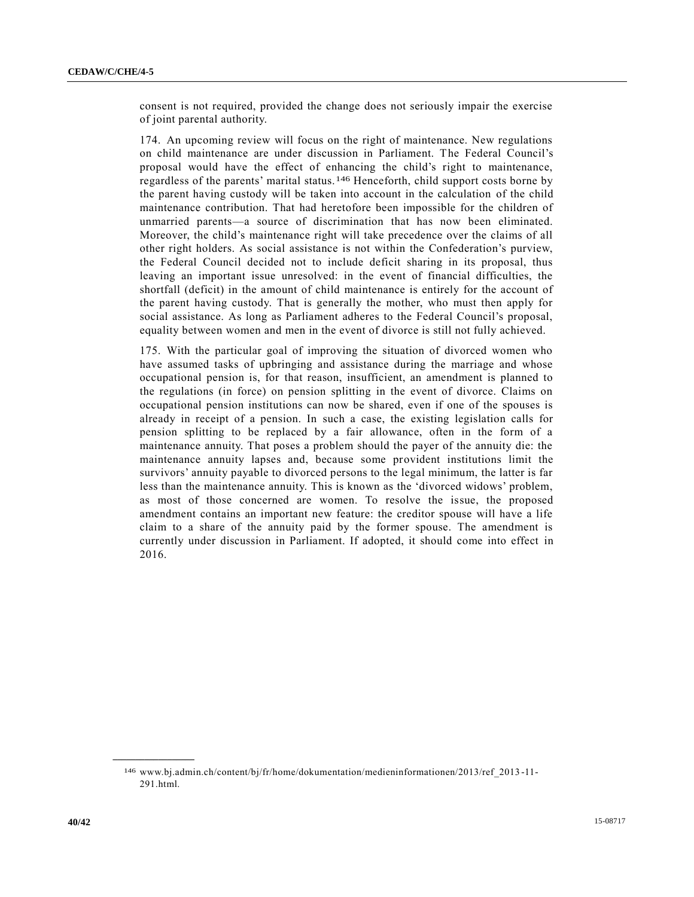consent is not required, provided the change does not seriously impair the exercise of joint parental authority.

174. An upcoming review will focus on the right of maintenance. New regulations on child maintenance are under discussion in Parliament. The Federal Council's proposal would have the effect of enhancing the child's right to maintenance, regardless of the parents' marital status.146 Henceforth, child support costs borne by the parent having custody will be taken into account in the calculation of the child maintenance contribution. That had heretofore been impossible for the children of unmarried parents—a source of discrimination that has now been eliminated. Moreover, the child's maintenance right will take precedence over the claims of all other right holders. As social assistance is not within the Confederation's purview, the Federal Council decided not to include deficit sharing in its proposal, thus leaving an important issue unresolved: in the event of financial difficulties, the shortfall (deficit) in the amount of child maintenance is entirely for the account of the parent having custody. That is generally the mother, who must then apply for social assistance. As long as Parliament adheres to the Federal Council's proposal, equality between women and men in the event of divorce is still not fully achieved.

175. With the particular goal of improving the situation of divorced women who have assumed tasks of upbringing and assistance during the marriage and whose occupational pension is, for that reason, insufficient, an amendment is planned to the regulations (in force) on pension splitting in the event of divorce. Claims on occupational pension institutions can now be shared, even if one of the spouses is already in receipt of a pension. In such a case, the existing legislation calls for pension splitting to be replaced by a fair allowance, often in the form of a maintenance annuity. That poses a problem should the payer of the annuity die: the maintenance annuity lapses and, because some provident institutions limit the survivors' annuity payable to divorced persons to the legal minimum, the latter is far less than the maintenance annuity. This is known as the 'divorced widows' problem, as most of those concerned are women. To resolve the issue, the proposed amendment contains an important new feature: the creditor spouse will have a life claim to a share of the annuity paid by the former spouse. The amendment is currently under discussion in Parliament. If adopted, it should come into effect in 2016.

<sup>146</sup> www.bj.admin.ch/content/bj/fr/home/dokumentation/medieninformationen/2013/ref\_2013 -11- 291.html.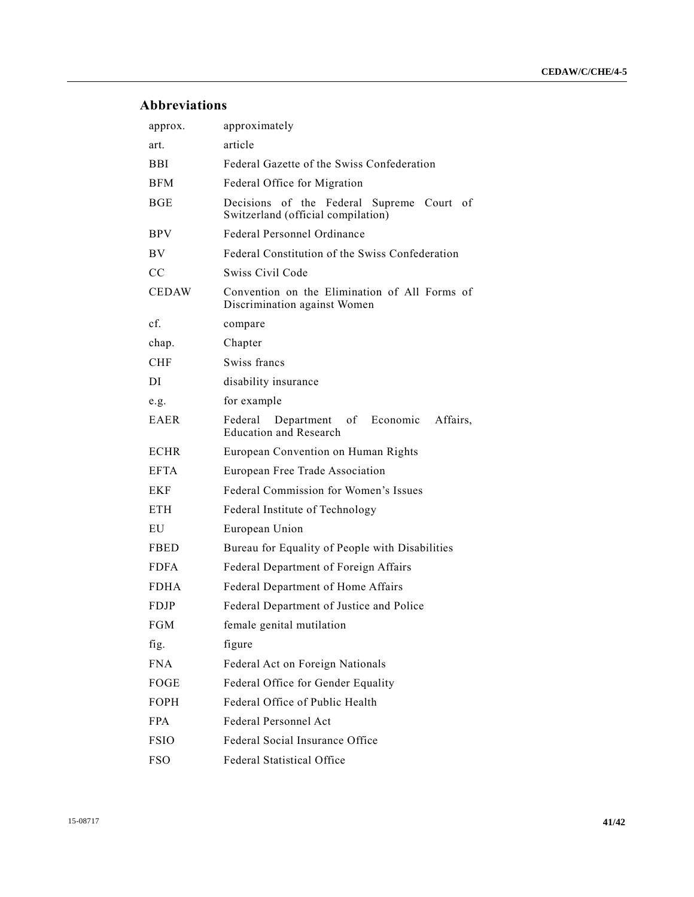# **Abbreviations**

| approx.      | approximately                                                                        |
|--------------|--------------------------------------------------------------------------------------|
| art.         | article                                                                              |
| BBI          | Federal Gazette of the Swiss Confederation                                           |
| <b>BFM</b>   | Federal Office for Migration                                                         |
| <b>BGE</b>   | Decisions of the Federal Supreme Court of<br>Switzerland (official compilation)      |
| <b>BPV</b>   | Federal Personnel Ordinance                                                          |
| BV           | Federal Constitution of the Swiss Confederation                                      |
| CC           | Swiss Civil Code                                                                     |
| <b>CEDAW</b> | Convention on the Elimination of All Forms of<br>Discrimination against Women        |
| cf.          | compare                                                                              |
| chap.        | Chapter                                                                              |
| <b>CHF</b>   | Swiss francs                                                                         |
| DI           | disability insurance                                                                 |
| e.g.         | for example                                                                          |
| <b>EAER</b>  | Economic<br>Affairs,<br>Federal<br>Department<br>of<br><b>Education and Research</b> |
| <b>ECHR</b>  | European Convention on Human Rights                                                  |
| <b>EFTA</b>  | European Free Trade Association                                                      |
| EKF          | Federal Commission for Women's Issues                                                |
| <b>ETH</b>   | Federal Institute of Technology                                                      |
| EU           | European Union                                                                       |
| <b>FBED</b>  | Bureau for Equality of People with Disabilities                                      |
| <b>FDFA</b>  | Federal Department of Foreign Affairs                                                |
| <b>FDHA</b>  | Federal Department of Home Affairs                                                   |
| <b>FDJP</b>  | Federal Department of Justice and Police                                             |
| FGM          | female genital mutilation                                                            |
| fig.         | figure                                                                               |
| <b>FNA</b>   | Federal Act on Foreign Nationals                                                     |
| FOGE         | Federal Office for Gender Equality                                                   |
| <b>FOPH</b>  | Federal Office of Public Health                                                      |
| <b>FPA</b>   | Federal Personnel Act                                                                |
| <b>FSIO</b>  | Federal Social Insurance Office                                                      |
| <b>FSO</b>   | Federal Statistical Office                                                           |